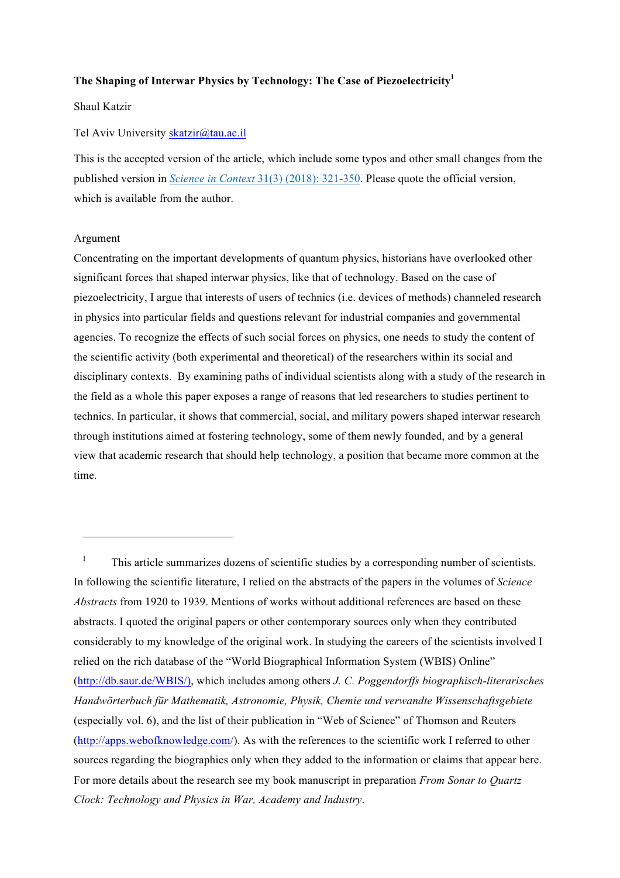# **The Shaping of Interwar Physics by Technology: The Case of Piezoelectricity<sup>1</sup>**

Shaul Katzir

## Tel Aviv University skatzir@tau.ac.il

<u> 1989 - Johann Stein, marwolaethau a bh</u>

This is the accepted version of the article, which include some typos and other small changes from the published version in *Science in Context* 31(3) (2018): 321-350. Please quote the official version, which is available from the author.

### Argument

Concentrating on the important developments of quantum physics, historians have overlooked other significant forces that shaped interwar physics, like that of technology. Based on the case of piezoelectricity, I argue that interests of users of technics (i.e. devices of methods) channeled research in physics into particular fields and questions relevant for industrial companies and governmental agencies. To recognize the effects of such social forces on physics, one needs to study the content of the scientific activity (both experimental and theoretical) of the researchers within its social and disciplinary contexts. By examining paths of individual scientists along with a study of the research in the field as a whole this paper exposes a range of reasons that led researchers to studies pertinent to technics. In particular, it shows that commercial, social, and military powers shaped interwar research through institutions aimed at fostering technology, some of them newly founded, and by a general view that academic research that should help technology, a position that became more common at the time.

<sup>&</sup>lt;sup>1</sup> This article summarizes dozens of scientific studies by a corresponding number of scientists. In following the scientific literature, I relied on the abstracts of the papers in the volumes of *Science Abstracts* from 1920 to 1939. Mentions of works without additional references are based on these abstracts. I quoted the original papers or other contemporary sources only when they contributed considerably to my knowledge of the original work. In studying the careers of the scientists involved I relied on the rich database of the "World Biographical Information System (WBIS) Online" (http://db.saur.de/WBIS/), which includes among others *J. C. Poggendorffs biographisch-literarisches Handwörterbuch für Mathematik, Astronomie, Physik, Chemie und verwandte Wissenschaftsgebiete* (especially vol. 6), and the list of their publication in "Web of Science" of Thomson and Reuters (http://apps.webofknowledge.com/). As with the references to the scientific work I referred to other sources regarding the biographies only when they added to the information or claims that appear here. For more details about the research see my book manuscript in preparation *From Sonar to Quartz Clock: Technology and Physics in War, Academy and Industry*.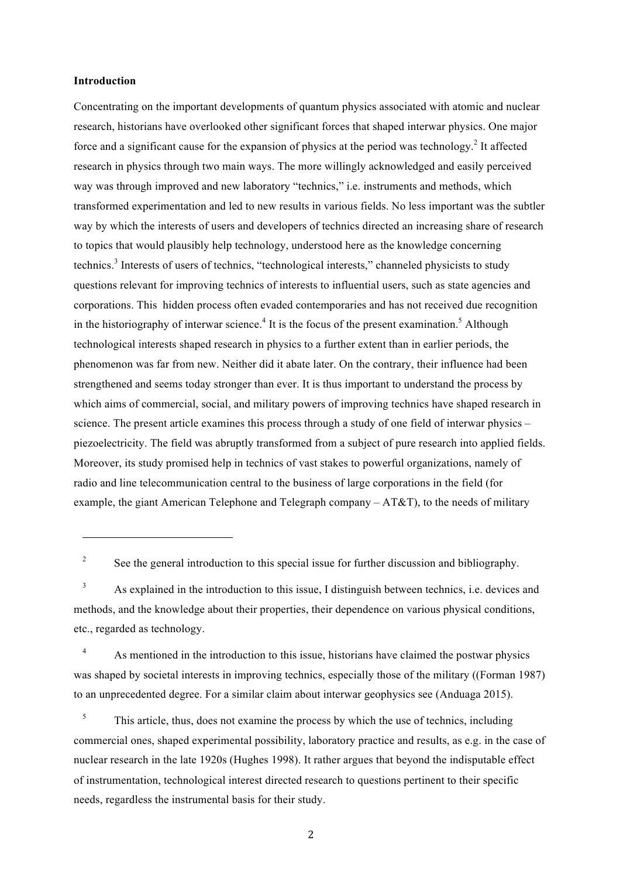## **Introduction**

<u> 1989 - Johann Stein, marwolaethau a bh</u>

Concentrating on the important developments of quantum physics associated with atomic and nuclear research, historians have overlooked other significant forces that shaped interwar physics. One major force and a significant cause for the expansion of physics at the period was technology.<sup>2</sup> It affected research in physics through two main ways. The more willingly acknowledged and easily perceived way was through improved and new laboratory "technics," i.e. instruments and methods, which transformed experimentation and led to new results in various fields. No less important was the subtler way by which the interests of users and developers of technics directed an increasing share of research to topics that would plausibly help technology, understood here as the knowledge concerning technics.<sup>3</sup> Interests of users of technics, "technological interests," channeled physicists to study questions relevant for improving technics of interests to influential users, such as state agencies and corporations. This hidden process often evaded contemporaries and has not received due recognition in the historiography of interwar science.<sup>4</sup> It is the focus of the present examination.<sup>5</sup> Although technological interests shaped research in physics to a further extent than in earlier periods, the phenomenon was far from new. Neither did it abate later. On the contrary, their influence had been strengthened and seems today stronger than ever. It is thus important to understand the process by which aims of commercial, social, and military powers of improving technics have shaped research in science. The present article examines this process through a study of one field of interwar physics – piezoelectricity. The field was abruptly transformed from a subject of pure research into applied fields. Moreover, its study promised help in technics of vast stakes to powerful organizations, namely of radio and line telecommunication central to the business of large corporations in the field (for example, the giant American Telephone and Telegraph company  $- AT&T$ ), to the needs of military

<sup>4</sup> As mentioned in the introduction to this issue, historians have claimed the postwar physics was shaped by societal interests in improving technics, especially those of the military ((Forman 1987) to an unprecedented degree. For a similar claim about interwar geophysics see (Anduaga 2015).

<sup>5</sup> This article, thus, does not examine the process by which the use of technics, including commercial ones, shaped experimental possibility, laboratory practice and results, as e.g. in the case of nuclear research in the late 1920s (Hughes 1998). It rather argues that beyond the indisputable effect of instrumentation, technological interest directed research to questions pertinent to their specific needs, regardless the instrumental basis for their study.

<sup>&</sup>lt;sup>2</sup> See the general introduction to this special issue for further discussion and bibliography.

<sup>&</sup>lt;sup>3</sup> As explained in the introduction to this issue, I distinguish between technics, i.e. devices and methods, and the knowledge about their properties, their dependence on various physical conditions, etc., regarded as technology.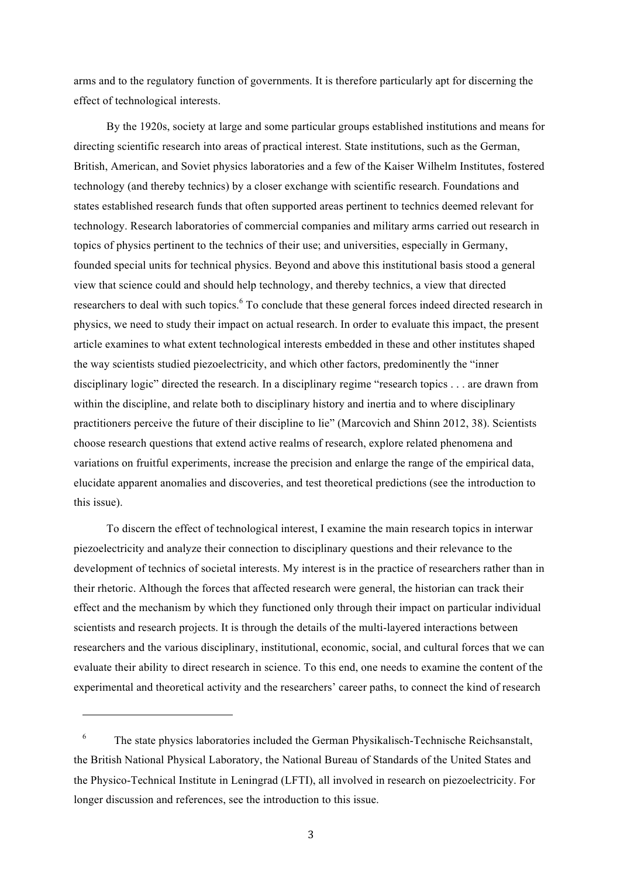arms and to the regulatory function of governments. It is therefore particularly apt for discerning the effect of technological interests.

By the 1920s, society at large and some particular groups established institutions and means for directing scientific research into areas of practical interest. State institutions, such as the German, British, American, and Soviet physics laboratories and a few of the Kaiser Wilhelm Institutes, fostered technology (and thereby technics) by a closer exchange with scientific research. Foundations and states established research funds that often supported areas pertinent to technics deemed relevant for technology. Research laboratories of commercial companies and military arms carried out research in topics of physics pertinent to the technics of their use; and universities, especially in Germany, founded special units for technical physics. Beyond and above this institutional basis stood a general view that science could and should help technology, and thereby technics, a view that directed researchers to deal with such topics.<sup>6</sup> To conclude that these general forces indeed directed research in physics, we need to study their impact on actual research. In order to evaluate this impact, the present article examines to what extent technological interests embedded in these and other institutes shaped the way scientists studied piezoelectricity, and which other factors, predominently the "inner disciplinary logic" directed the research. In a disciplinary regime "research topics . . . are drawn from within the discipline, and relate both to disciplinary history and inertia and to where disciplinary practitioners perceive the future of their discipline to lie" (Marcovich and Shinn 2012, 38). Scientists choose research questions that extend active realms of research, explore related phenomena and variations on fruitful experiments, increase the precision and enlarge the range of the empirical data, elucidate apparent anomalies and discoveries, and test theoretical predictions (see the introduction to this issue).

To discern the effect of technological interest, I examine the main research topics in interwar piezoelectricity and analyze their connection to disciplinary questions and their relevance to the development of technics of societal interests. My interest is in the practice of researchers rather than in their rhetoric. Although the forces that affected research were general, the historian can track their effect and the mechanism by which they functioned only through their impact on particular individual scientists and research projects. It is through the details of the multi-layered interactions between researchers and the various disciplinary, institutional, economic, social, and cultural forces that we can evaluate their ability to direct research in science. To this end, one needs to examine the content of the experimental and theoretical activity and the researchers' career paths, to connect the kind of research

<sup>6</sup> The state physics laboratories included the German Physikalisch-Technische Reichsanstalt, the British National Physical Laboratory, the National Bureau of Standards of the United States and the Physico-Technical Institute in Leningrad (LFTI), all involved in research on piezoelectricity. For longer discussion and references, see the introduction to this issue.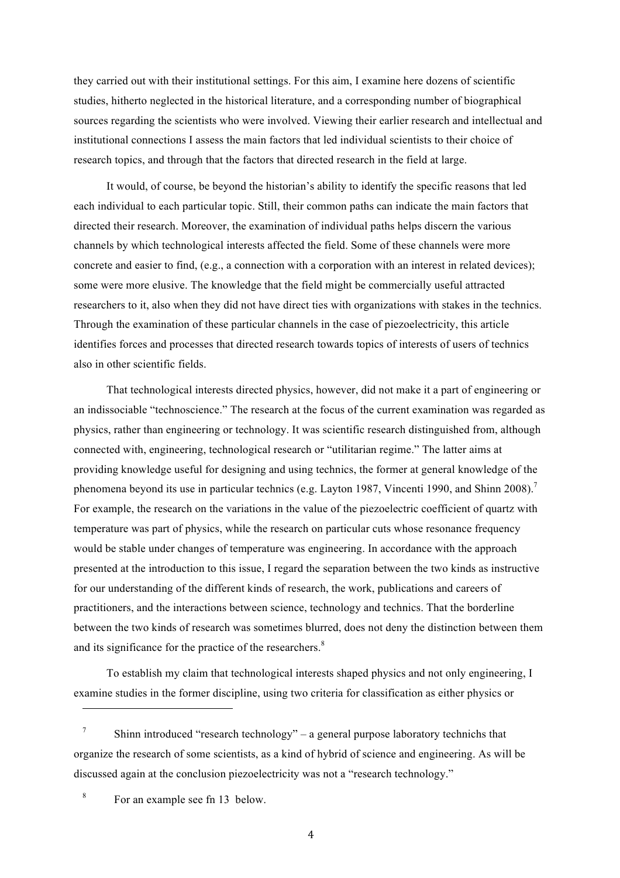they carried out with their institutional settings. For this aim, I examine here dozens of scientific studies, hitherto neglected in the historical literature, and a corresponding number of biographical sources regarding the scientists who were involved. Viewing their earlier research and intellectual and institutional connections I assess the main factors that led individual scientists to their choice of research topics, and through that the factors that directed research in the field at large.

It would, of course, be beyond the historian's ability to identify the specific reasons that led each individual to each particular topic. Still, their common paths can indicate the main factors that directed their research. Moreover, the examination of individual paths helps discern the various channels by which technological interests affected the field. Some of these channels were more concrete and easier to find, (e.g., a connection with a corporation with an interest in related devices); some were more elusive. The knowledge that the field might be commercially useful attracted researchers to it, also when they did not have direct ties with organizations with stakes in the technics. Through the examination of these particular channels in the case of piezoelectricity, this article identifies forces and processes that directed research towards topics of interests of users of technics also in other scientific fields.

That technological interests directed physics, however, did not make it a part of engineering or an indissociable "technoscience." The research at the focus of the current examination was regarded as physics, rather than engineering or technology. It was scientific research distinguished from, although connected with, engineering, technological research or "utilitarian regime." The latter aims at providing knowledge useful for designing and using technics, the former at general knowledge of the phenomena beyond its use in particular technics (e.g. Layton 1987, Vincenti 1990, and Shinn 2008).<sup>7</sup> For example, the research on the variations in the value of the piezoelectric coefficient of quartz with temperature was part of physics, while the research on particular cuts whose resonance frequency would be stable under changes of temperature was engineering. In accordance with the approach presented at the introduction to this issue, I regard the separation between the two kinds as instructive for our understanding of the different kinds of research, the work, publications and careers of practitioners, and the interactions between science, technology and technics. That the borderline between the two kinds of research was sometimes blurred, does not deny the distinction between them and its significance for the practice of the researchers.<sup>8</sup>

To establish my claim that technological interests shaped physics and not only engineering, I examine studies in the former discipline, using two criteria for classification as either physics or

<u> 1989 - Johann Stein, marwolaethau a bh</u>

4

<sup>&</sup>lt;sup>7</sup> Shinn introduced "research technology" – a general purpose laboratory technichs that organize the research of some scientists, as a kind of hybrid of science and engineering. As will be discussed again at the conclusion piezoelectricity was not a "research technology."

<sup>8</sup> For an example see fn 13 below.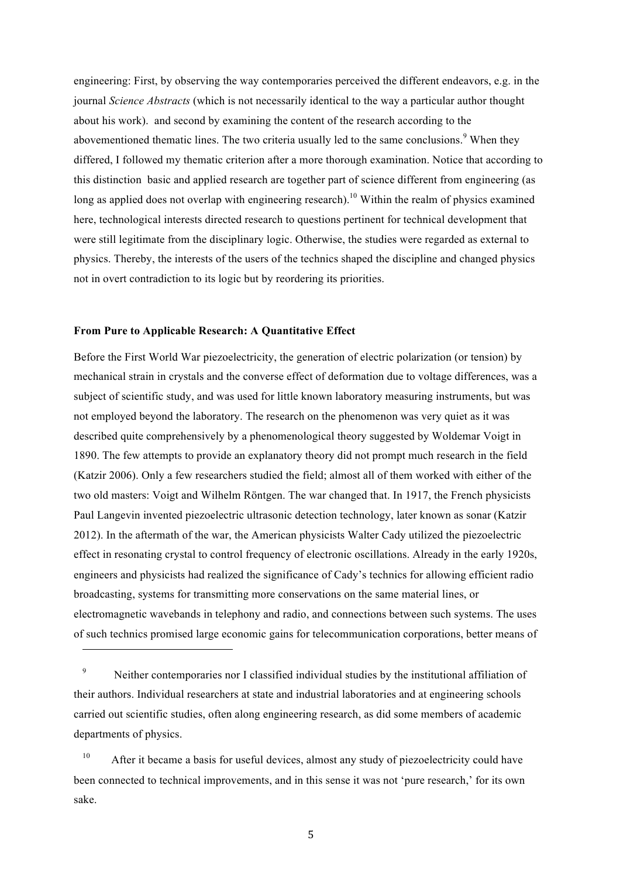engineering: First, by observing the way contemporaries perceived the different endeavors, e.g. in the journal *Science Abstracts* (which is not necessarily identical to the way a particular author thought about his work). and second by examining the content of the research according to the abovementioned thematic lines. The two criteria usually led to the same conclusions.<sup>9</sup> When they differed, I followed my thematic criterion after a more thorough examination. Notice that according to this distinction basic and applied research are together part of science different from engineering (as long as applied does not overlap with engineering research).<sup>10</sup> Within the realm of physics examined here, technological interests directed research to questions pertinent for technical development that were still legitimate from the disciplinary logic. Otherwise, the studies were regarded as external to physics. Thereby, the interests of the users of the technics shaped the discipline and changed physics not in overt contradiction to its logic but by reordering its priorities.

## **From Pure to Applicable Research: A Quantitative Effect**

<u> 1989 - Johann Stein, marwolaethau a bh</u>

Before the First World War piezoelectricity, the generation of electric polarization (or tension) by mechanical strain in crystals and the converse effect of deformation due to voltage differences, was a subject of scientific study, and was used for little known laboratory measuring instruments, but was not employed beyond the laboratory. The research on the phenomenon was very quiet as it was described quite comprehensively by a phenomenological theory suggested by Woldemar Voigt in 1890. The few attempts to provide an explanatory theory did not prompt much research in the field (Katzir 2006). Only a few researchers studied the field; almost all of them worked with either of the two old masters: Voigt and Wilhelm Röntgen. The war changed that. In 1917, the French physicists Paul Langevin invented piezoelectric ultrasonic detection technology, later known as sonar (Katzir 2012). In the aftermath of the war, the American physicists Walter Cady utilized the piezoelectric effect in resonating crystal to control frequency of electronic oscillations. Already in the early 1920s, engineers and physicists had realized the significance of Cady's technics for allowing efficient radio broadcasting, systems for transmitting more conservations on the same material lines, or electromagnetic wavebands in telephony and radio, and connections between such systems. The uses of such technics promised large economic gains for telecommunication corporations, better means of

<sup>&</sup>lt;sup>9</sup> Neither contemporaries nor I classified individual studies by the institutional affiliation of their authors. Individual researchers at state and industrial laboratories and at engineering schools carried out scientific studies, often along engineering research, as did some members of academic departments of physics.

<sup>&</sup>lt;sup>10</sup> After it became a basis for useful devices, almost any study of piezoelectricity could have been connected to technical improvements, and in this sense it was not 'pure research,' for its own sake.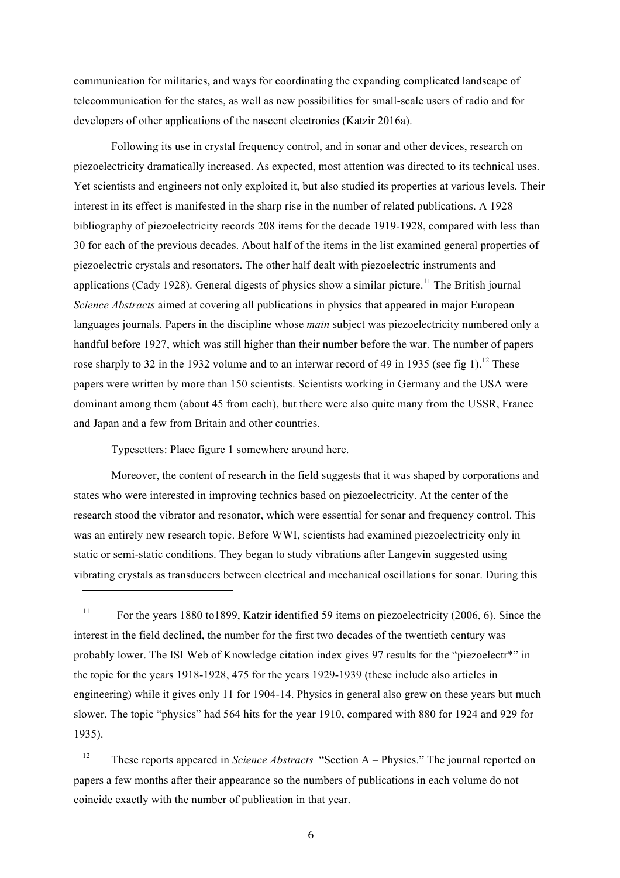communication for militaries, and ways for coordinating the expanding complicated landscape of telecommunication for the states, as well as new possibilities for small-scale users of radio and for developers of other applications of the nascent electronics (Katzir 2016a).

Following its use in crystal frequency control, and in sonar and other devices, research on piezoelectricity dramatically increased. As expected, most attention was directed to its technical uses. Yet scientists and engineers not only exploited it, but also studied its properties at various levels. Their interest in its effect is manifested in the sharp rise in the number of related publications. A 1928 bibliography of piezoelectricity records 208 items for the decade 1919-1928, compared with less than 30 for each of the previous decades. About half of the items in the list examined general properties of piezoelectric crystals and resonators. The other half dealt with piezoelectric instruments and applications (Cady 1928). General digests of physics show a similar picture.<sup>11</sup> The British journal *Science Abstracts* aimed at covering all publications in physics that appeared in major European languages journals. Papers in the discipline whose *main* subject was piezoelectricity numbered only a handful before 1927, which was still higher than their number before the war. The number of papers rose sharply to 32 in the 1932 volume and to an interwar record of 49 in 1935 (see fig 1).<sup>12</sup> These papers were written by more than 150 scientists. Scientists working in Germany and the USA were dominant among them (about 45 from each), but there were also quite many from the USSR, France and Japan and a few from Britain and other countries.

Typesetters: Place figure 1 somewhere around here.

<u> 1989 - Johann Stein, marwolaethau a bh</u>

Moreover, the content of research in the field suggests that it was shaped by corporations and states who were interested in improving technics based on piezoelectricity. At the center of the research stood the vibrator and resonator, which were essential for sonar and frequency control. This was an entirely new research topic. Before WWI, scientists had examined piezoelectricity only in static or semi-static conditions. They began to study vibrations after Langevin suggested using vibrating crystals as transducers between electrical and mechanical oscillations for sonar. During this

<sup>12</sup> These reports appeared in *Science Abstracts* "Section A – Physics." The journal reported on papers a few months after their appearance so the numbers of publications in each volume do not coincide exactly with the number of publication in that year.

<sup>&</sup>lt;sup>11</sup> For the years 1880 to1899, Katzir identified 59 items on piezoelectricity (2006, 6). Since the interest in the field declined, the number for the first two decades of the twentieth century was probably lower. The ISI Web of Knowledge citation index gives 97 results for the "piezoelectr\*" in the topic for the years 1918-1928, 475 for the years 1929-1939 (these include also articles in engineering) while it gives only 11 for 1904-14. Physics in general also grew on these years but much slower. The topic "physics" had 564 hits for the year 1910, compared with 880 for 1924 and 929 for 1935).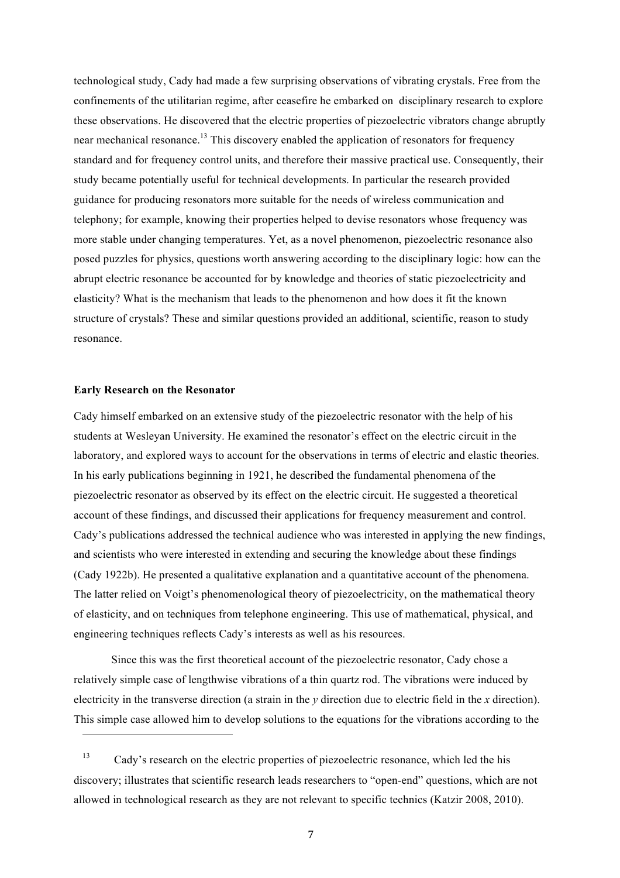technological study, Cady had made a few surprising observations of vibrating crystals. Free from the confinements of the utilitarian regime, after ceasefire he embarked on disciplinary research to explore these observations. He discovered that the electric properties of piezoelectric vibrators change abruptly near mechanical resonance.<sup>13</sup> This discovery enabled the application of resonators for frequency standard and for frequency control units, and therefore their massive practical use. Consequently, their study became potentially useful for technical developments. In particular the research provided guidance for producing resonators more suitable for the needs of wireless communication and telephony; for example, knowing their properties helped to devise resonators whose frequency was more stable under changing temperatures. Yet, as a novel phenomenon, piezoelectric resonance also posed puzzles for physics, questions worth answering according to the disciplinary logic: how can the abrupt electric resonance be accounted for by knowledge and theories of static piezoelectricity and elasticity? What is the mechanism that leads to the phenomenon and how does it fit the known structure of crystals? These and similar questions provided an additional, scientific, reason to study resonance.

### **Early Research on the Resonator**

<u> 1989 - Johann Stein, marwolaethau a bh</u>

Cady himself embarked on an extensive study of the piezoelectric resonator with the help of his students at Wesleyan University. He examined the resonator's effect on the electric circuit in the laboratory, and explored ways to account for the observations in terms of electric and elastic theories. In his early publications beginning in 1921, he described the fundamental phenomena of the piezoelectric resonator as observed by its effect on the electric circuit. He suggested a theoretical account of these findings, and discussed their applications for frequency measurement and control. Cady's publications addressed the technical audience who was interested in applying the new findings, and scientists who were interested in extending and securing the knowledge about these findings (Cady 1922b). He presented a qualitative explanation and a quantitative account of the phenomena. The latter relied on Voigt's phenomenological theory of piezoelectricity, on the mathematical theory of elasticity, and on techniques from telephone engineering. This use of mathematical, physical, and engineering techniques reflects Cady's interests as well as his resources.

Since this was the first theoretical account of the piezoelectric resonator, Cady chose a relatively simple case of lengthwise vibrations of a thin quartz rod. The vibrations were induced by electricity in the transverse direction (a strain in the *y* direction due to electric field in the *x* direction). This simple case allowed him to develop solutions to the equations for the vibrations according to the

<sup>&</sup>lt;sup>13</sup> Cady's research on the electric properties of piezoelectric resonance, which led the his discovery; illustrates that scientific research leads researchers to "open-end" questions, which are not allowed in technological research as they are not relevant to specific technics (Katzir 2008, 2010).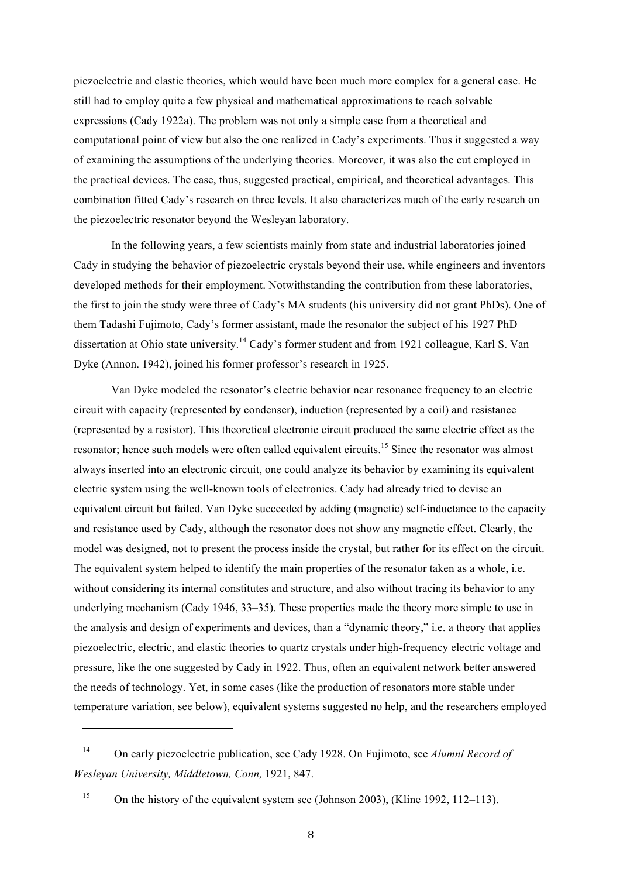piezoelectric and elastic theories, which would have been much more complex for a general case. He still had to employ quite a few physical and mathematical approximations to reach solvable expressions (Cady 1922a). The problem was not only a simple case from a theoretical and computational point of view but also the one realized in Cady's experiments. Thus it suggested a way of examining the assumptions of the underlying theories. Moreover, it was also the cut employed in the practical devices. The case, thus, suggested practical, empirical, and theoretical advantages. This combination fitted Cady's research on three levels. It also characterizes much of the early research on the piezoelectric resonator beyond the Wesleyan laboratory.

In the following years, a few scientists mainly from state and industrial laboratories joined Cady in studying the behavior of piezoelectric crystals beyond their use, while engineers and inventors developed methods for their employment. Notwithstanding the contribution from these laboratories, the first to join the study were three of Cady's MA students (his university did not grant PhDs). One of them Tadashi Fujimoto, Cady's former assistant, made the resonator the subject of his 1927 PhD dissertation at Ohio state university.<sup>14</sup> Cady's former student and from 1921 colleague, Karl S. Van Dyke (Annon. 1942), joined his former professor's research in 1925.

Van Dyke modeled the resonator's electric behavior near resonance frequency to an electric circuit with capacity (represented by condenser), induction (represented by a coil) and resistance (represented by a resistor). This theoretical electronic circuit produced the same electric effect as the resonator; hence such models were often called equivalent circuits.<sup>15</sup> Since the resonator was almost always inserted into an electronic circuit, one could analyze its behavior by examining its equivalent electric system using the well-known tools of electronics. Cady had already tried to devise an equivalent circuit but failed. Van Dyke succeeded by adding (magnetic) self-inductance to the capacity and resistance used by Cady, although the resonator does not show any magnetic effect. Clearly, the model was designed, not to present the process inside the crystal, but rather for its effect on the circuit. The equivalent system helped to identify the main properties of the resonator taken as a whole, i.e. without considering its internal constitutes and structure, and also without tracing its behavior to any underlying mechanism (Cady 1946, 33–35). These properties made the theory more simple to use in the analysis and design of experiments and devices, than a "dynamic theory," i.e. a theory that applies piezoelectric, electric, and elastic theories to quartz crystals under high-frequency electric voltage and pressure, like the one suggested by Cady in 1922. Thus, often an equivalent network better answered the needs of technology. Yet, in some cases (like the production of resonators more stable under temperature variation, see below), equivalent systems suggested no help, and the researchers employed

<sup>14</sup> On early piezoelectric publication, see Cady 1928. On Fujimoto, see *Alumni Record of Wesleyan University, Middletown, Conn,* 1921, 847.

<sup>&</sup>lt;sup>15</sup> On the history of the equivalent system see (Johnson 2003), (Kline 1992, 112–113).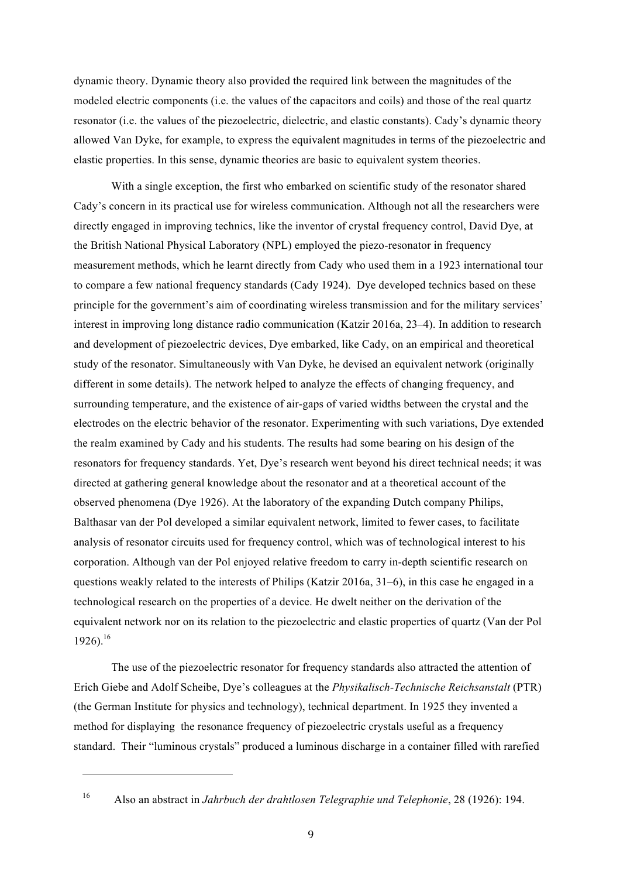dynamic theory. Dynamic theory also provided the required link between the magnitudes of the modeled electric components (i.e. the values of the capacitors and coils) and those of the real quartz resonator (i.e. the values of the piezoelectric, dielectric, and elastic constants). Cady's dynamic theory allowed Van Dyke, for example, to express the equivalent magnitudes in terms of the piezoelectric and elastic properties. In this sense, dynamic theories are basic to equivalent system theories.

With a single exception, the first who embarked on scientific study of the resonator shared Cady's concern in its practical use for wireless communication. Although not all the researchers were directly engaged in improving technics, like the inventor of crystal frequency control, David Dye, at the British National Physical Laboratory (NPL) employed the piezo-resonator in frequency measurement methods, which he learnt directly from Cady who used them in a 1923 international tour to compare a few national frequency standards (Cady 1924). Dye developed technics based on these principle for the government's aim of coordinating wireless transmission and for the military services' interest in improving long distance radio communication (Katzir 2016a, 23–4). In addition to research and development of piezoelectric devices, Dye embarked, like Cady, on an empirical and theoretical study of the resonator. Simultaneously with Van Dyke, he devised an equivalent network (originally different in some details). The network helped to analyze the effects of changing frequency, and surrounding temperature, and the existence of air-gaps of varied widths between the crystal and the electrodes on the electric behavior of the resonator. Experimenting with such variations, Dye extended the realm examined by Cady and his students. The results had some bearing on his design of the resonators for frequency standards. Yet, Dye's research went beyond his direct technical needs; it was directed at gathering general knowledge about the resonator and at a theoretical account of the observed phenomena (Dye 1926). At the laboratory of the expanding Dutch company Philips, Balthasar van der Pol developed a similar equivalent network, limited to fewer cases, to facilitate analysis of resonator circuits used for frequency control, which was of technological interest to his corporation. Although van der Pol enjoyed relative freedom to carry in-depth scientific research on questions weakly related to the interests of Philips (Katzir 2016a, 31–6), in this case he engaged in a technological research on the properties of a device. He dwelt neither on the derivation of the equivalent network nor on its relation to the piezoelectric and elastic properties of quartz (Van der Pol 1926). 16

The use of the piezoelectric resonator for frequency standards also attracted the attention of Erich Giebe and Adolf Scheibe, Dye's colleagues at the *Physikalisch-Technische Reichsanstalt* (PTR) (the German Institute for physics and technology), technical department. In 1925 they invented a method for displaying the resonance frequency of piezoelectric crystals useful as a frequency standard. Their "luminous crystals" produced a luminous discharge in a container filled with rarefied

<sup>16</sup> Also an abstract in *Jahrbuch der drahtlosen Telegraphie und Telephonie*, 28 (1926): 194.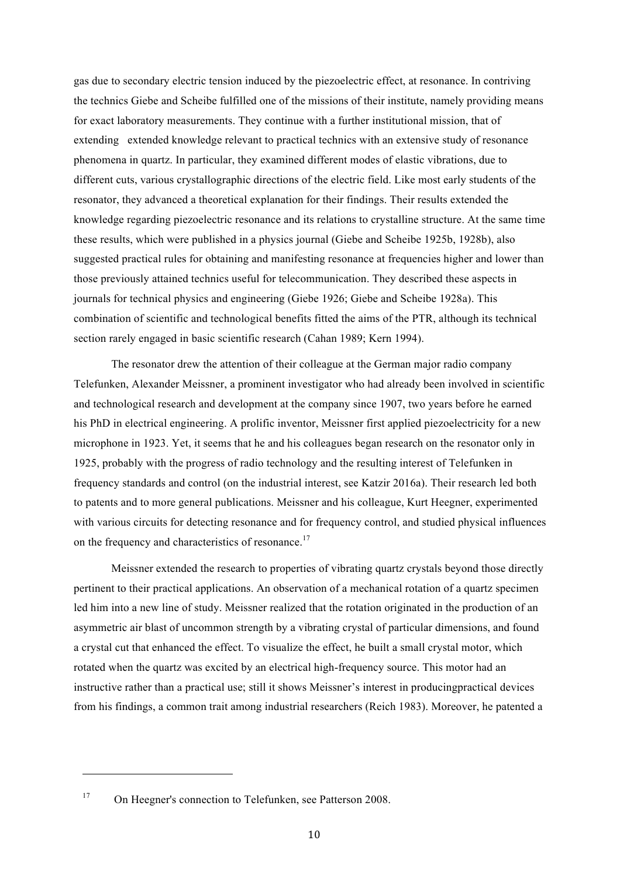gas due to secondary electric tension induced by the piezoelectric effect, at resonance. In contriving the technics Giebe and Scheibe fulfilled one of the missions of their institute, namely providing means for exact laboratory measurements. They continue with a further institutional mission, that of extending extended knowledge relevant to practical technics with an extensive study of resonance phenomena in quartz. In particular, they examined different modes of elastic vibrations, due to different cuts, various crystallographic directions of the electric field. Like most early students of the resonator, they advanced a theoretical explanation for their findings. Their results extended the knowledge regarding piezoelectric resonance and its relations to crystalline structure. At the same time these results, which were published in a physics journal (Giebe and Scheibe 1925b, 1928b), also suggested practical rules for obtaining and manifesting resonance at frequencies higher and lower than those previously attained technics useful for telecommunication. They described these aspects in journals for technical physics and engineering (Giebe 1926; Giebe and Scheibe 1928a). This combination of scientific and technological benefits fitted the aims of the PTR, although its technical section rarely engaged in basic scientific research (Cahan 1989; Kern 1994).

The resonator drew the attention of their colleague at the German major radio company Telefunken, Alexander Meissner, a prominent investigator who had already been involved in scientific and technological research and development at the company since 1907, two years before he earned his PhD in electrical engineering. A prolific inventor, Meissner first applied piezoelectricity for a new microphone in 1923. Yet, it seems that he and his colleagues began research on the resonator only in 1925, probably with the progress of radio technology and the resulting interest of Telefunken in frequency standards and control (on the industrial interest, see Katzir 2016a). Their research led both to patents and to more general publications. Meissner and his colleague, Kurt Heegner, experimented with various circuits for detecting resonance and for frequency control, and studied physical influences on the frequency and characteristics of resonance.<sup>17</sup>

Meissner extended the research to properties of vibrating quartz crystals beyond those directly pertinent to their practical applications. An observation of a mechanical rotation of a quartz specimen led him into a new line of study. Meissner realized that the rotation originated in the production of an asymmetric air blast of uncommon strength by a vibrating crystal of particular dimensions, and found a crystal cut that enhanced the effect. To visualize the effect, he built a small crystal motor, which rotated when the quartz was excited by an electrical high-frequency source. This motor had an instructive rather than a practical use; still it shows Meissner's interest in producingpractical devices from his findings, a common trait among industrial researchers (Reich 1983). Moreover, he patented a

<sup>&</sup>lt;sup>17</sup> On Heegner's connection to Telefunken, see Patterson 2008.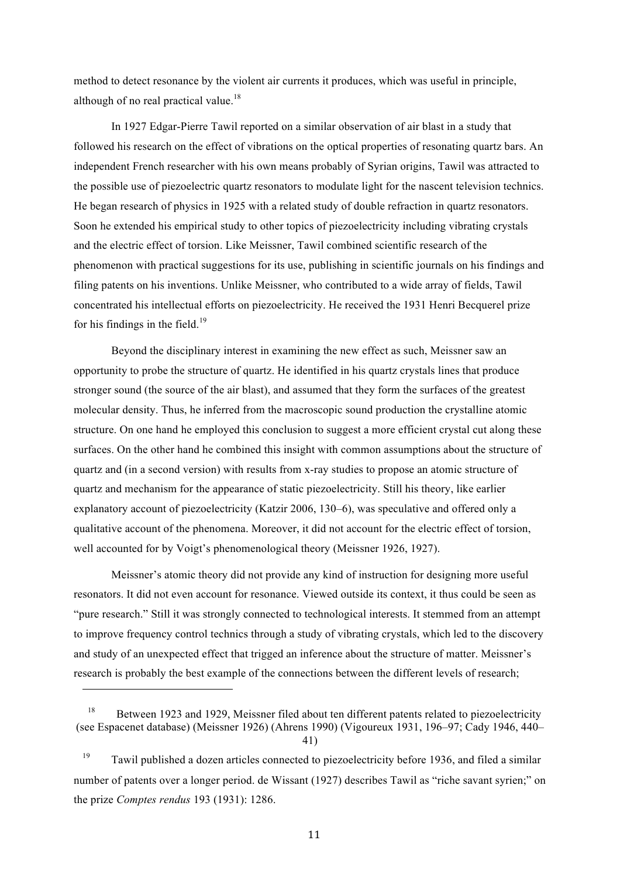method to detect resonance by the violent air currents it produces, which was useful in principle, although of no real practical value.<sup>18</sup>

In 1927 Edgar-Pierre Tawil reported on a similar observation of air blast in a study that followed his research on the effect of vibrations on the optical properties of resonating quartz bars. An independent French researcher with his own means probably of Syrian origins, Tawil was attracted to the possible use of piezoelectric quartz resonators to modulate light for the nascent television technics. He began research of physics in 1925 with a related study of double refraction in quartz resonators. Soon he extended his empirical study to other topics of piezoelectricity including vibrating crystals and the electric effect of torsion. Like Meissner, Tawil combined scientific research of the phenomenon with practical suggestions for its use, publishing in scientific journals on his findings and filing patents on his inventions. Unlike Meissner, who contributed to a wide array of fields, Tawil concentrated his intellectual efforts on piezoelectricity. He received the 1931 Henri Becquerel prize for his findings in the field.<sup>19</sup>

Beyond the disciplinary interest in examining the new effect as such, Meissner saw an opportunity to probe the structure of quartz. He identified in his quartz crystals lines that produce stronger sound (the source of the air blast), and assumed that they form the surfaces of the greatest molecular density. Thus, he inferred from the macroscopic sound production the crystalline atomic structure. On one hand he employed this conclusion to suggest a more efficient crystal cut along these surfaces. On the other hand he combined this insight with common assumptions about the structure of quartz and (in a second version) with results from x-ray studies to propose an atomic structure of quartz and mechanism for the appearance of static piezoelectricity. Still his theory, like earlier explanatory account of piezoelectricity (Katzir 2006, 130–6), was speculative and offered only a qualitative account of the phenomena. Moreover, it did not account for the electric effect of torsion, well accounted for by Voigt's phenomenological theory (Meissner 1926, 1927).

Meissner's atomic theory did not provide any kind of instruction for designing more useful resonators. It did not even account for resonance. Viewed outside its context, it thus could be seen as "pure research." Still it was strongly connected to technological interests. It stemmed from an attempt to improve frequency control technics through a study of vibrating crystals, which led to the discovery and study of an unexpected effect that trigged an inference about the structure of matter. Meissner's research is probably the best example of the connections between the different levels of research;

 

<sup>&</sup>lt;sup>18</sup> Between 1923 and 1929, Meissner filed about ten different patents related to piezoelectricity (see Espacenet database) (Meissner 1926) (Ahrens 1990) (Vigoureux 1931, 196–97; Cady 1946, 440– 41)

 $19$  Tawil published a dozen articles connected to piezoelectricity before 1936, and filed a similar number of patents over a longer period. de Wissant (1927) describes Tawil as "riche savant syrien;" on the prize *Comptes rendus* 193 (1931): 1286.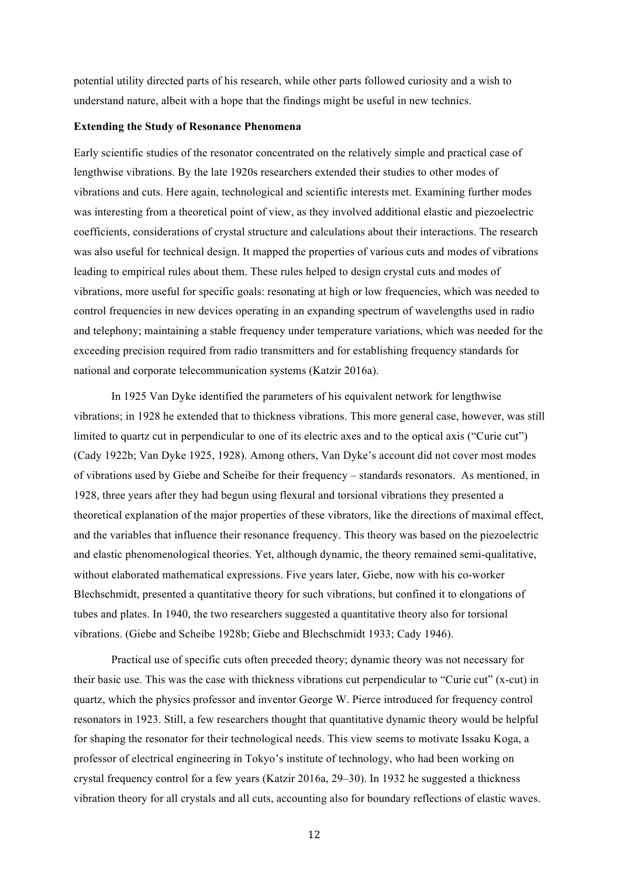potential utility directed parts of his research, while other parts followed curiosity and a wish to understand nature, albeit with a hope that the findings might be useful in new technics.

## **Extending the Study of Resonance Phenomena**

Early scientific studies of the resonator concentrated on the relatively simple and practical case of lengthwise vibrations. By the late 1920s researchers extended their studies to other modes of vibrations and cuts. Here again, technological and scientific interests met. Examining further modes was interesting from a theoretical point of view, as they involved additional elastic and piezoelectric coefficients, considerations of crystal structure and calculations about their interactions. The research was also useful for technical design. It mapped the properties of various cuts and modes of vibrations leading to empirical rules about them. These rules helped to design crystal cuts and modes of vibrations, more useful for specific goals: resonating at high or low frequencies, which was needed to control frequencies in new devices operating in an expanding spectrum of wavelengths used in radio and telephony; maintaining a stable frequency under temperature variations, which was needed for the exceeding precision required from radio transmitters and for establishing frequency standards for national and corporate telecommunication systems (Katzir 2016a).

In 1925 Van Dyke identified the parameters of his equivalent network for lengthwise vibrations; in 1928 he extended that to thickness vibrations. This more general case, however, was still limited to quartz cut in perpendicular to one of its electric axes and to the optical axis ("Curie cut") (Cady 1922b; Van Dyke 1925, 1928). Among others, Van Dyke's account did not cover most modes of vibrations used by Giebe and Scheibe for their frequency – standards resonators. As mentioned, in 1928, three years after they had begun using flexural and torsional vibrations they presented a theoretical explanation of the major properties of these vibrators, like the directions of maximal effect, and the variables that influence their resonance frequency. This theory was based on the piezoelectric and elastic phenomenological theories. Yet, although dynamic, the theory remained semi-qualitative, without elaborated mathematical expressions. Five years later, Giebe, now with his co-worker Blechschmidt, presented a quantitative theory for such vibrations, but confined it to elongations of tubes and plates. In 1940, the two researchers suggested a quantitative theory also for torsional vibrations. (Giebe and Scheibe 1928b; Giebe and Blechschmidt 1933; Cady 1946).

Practical use of specific cuts often preceded theory; dynamic theory was not necessary for their basic use. This was the case with thickness vibrations cut perpendicular to "Curie cut" (x-cut) in quartz, which the physics professor and inventor George W. Pierce introduced for frequency control resonators in 1923. Still, a few researchers thought that quantitative dynamic theory would be helpful for shaping the resonator for their technological needs. This view seems to motivate Issaku Koga, a professor of electrical engineering in Tokyo's institute of technology, who had been working on crystal frequency control for a few years (Katzir 2016a, 29–30). In 1932 he suggested a thickness vibration theory for all crystals and all cuts, accounting also for boundary reflections of elastic waves.

12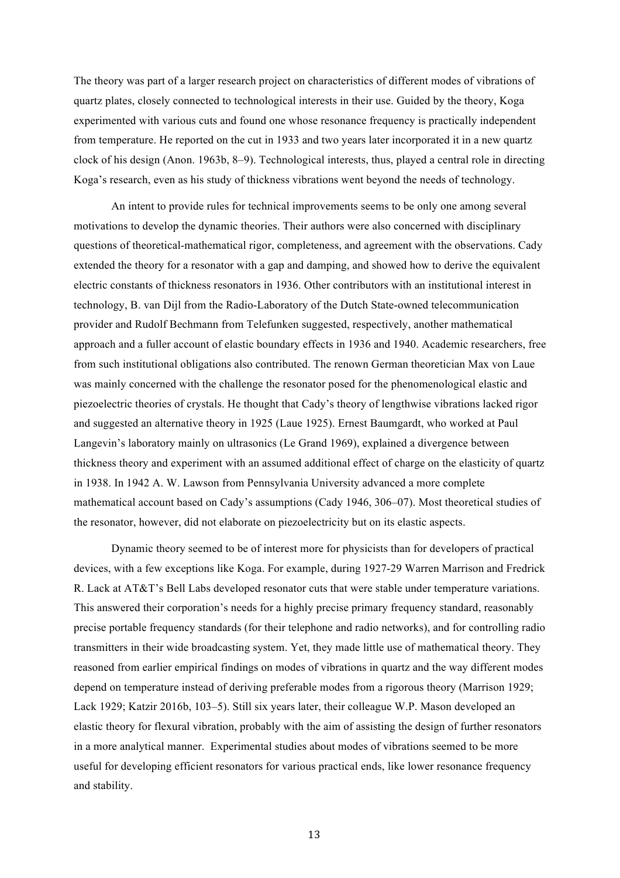The theory was part of a larger research project on characteristics of different modes of vibrations of quartz plates, closely connected to technological interests in their use. Guided by the theory, Koga experimented with various cuts and found one whose resonance frequency is practically independent from temperature. He reported on the cut in 1933 and two years later incorporated it in a new quartz clock of his design (Anon. 1963b, 8–9). Technological interests, thus, played a central role in directing Koga's research, even as his study of thickness vibrations went beyond the needs of technology.

An intent to provide rules for technical improvements seems to be only one among several motivations to develop the dynamic theories. Their authors were also concerned with disciplinary questions of theoretical-mathematical rigor, completeness, and agreement with the observations. Cady extended the theory for a resonator with a gap and damping, and showed how to derive the equivalent electric constants of thickness resonators in 1936. Other contributors with an institutional interest in technology, B. van Dijl from the Radio-Laboratory of the Dutch State-owned telecommunication provider and Rudolf Bechmann from Telefunken suggested, respectively, another mathematical approach and a fuller account of elastic boundary effects in 1936 and 1940. Academic researchers, free from such institutional obligations also contributed. The renown German theoretician Max von Laue was mainly concerned with the challenge the resonator posed for the phenomenological elastic and piezoelectric theories of crystals. He thought that Cady's theory of lengthwise vibrations lacked rigor and suggested an alternative theory in 1925 (Laue 1925). Ernest Baumgardt, who worked at Paul Langevin's laboratory mainly on ultrasonics (Le Grand 1969), explained a divergence between thickness theory and experiment with an assumed additional effect of charge on the elasticity of quartz in 1938. In 1942 A. W. Lawson from Pennsylvania University advanced a more complete mathematical account based on Cady's assumptions (Cady 1946, 306–07). Most theoretical studies of the resonator, however, did not elaborate on piezoelectricity but on its elastic aspects.

Dynamic theory seemed to be of interest more for physicists than for developers of practical devices, with a few exceptions like Koga. For example, during 1927-29 Warren Marrison and Fredrick R. Lack at AT&T's Bell Labs developed resonator cuts that were stable under temperature variations. This answered their corporation's needs for a highly precise primary frequency standard, reasonably precise portable frequency standards (for their telephone and radio networks), and for controlling radio transmitters in their wide broadcasting system. Yet, they made little use of mathematical theory. They reasoned from earlier empirical findings on modes of vibrations in quartz and the way different modes depend on temperature instead of deriving preferable modes from a rigorous theory (Marrison 1929; Lack 1929; Katzir 2016b, 103–5). Still six years later, their colleague W.P. Mason developed an elastic theory for flexural vibration, probably with the aim of assisting the design of further resonators in a more analytical manner. Experimental studies about modes of vibrations seemed to be more useful for developing efficient resonators for various practical ends, like lower resonance frequency and stability.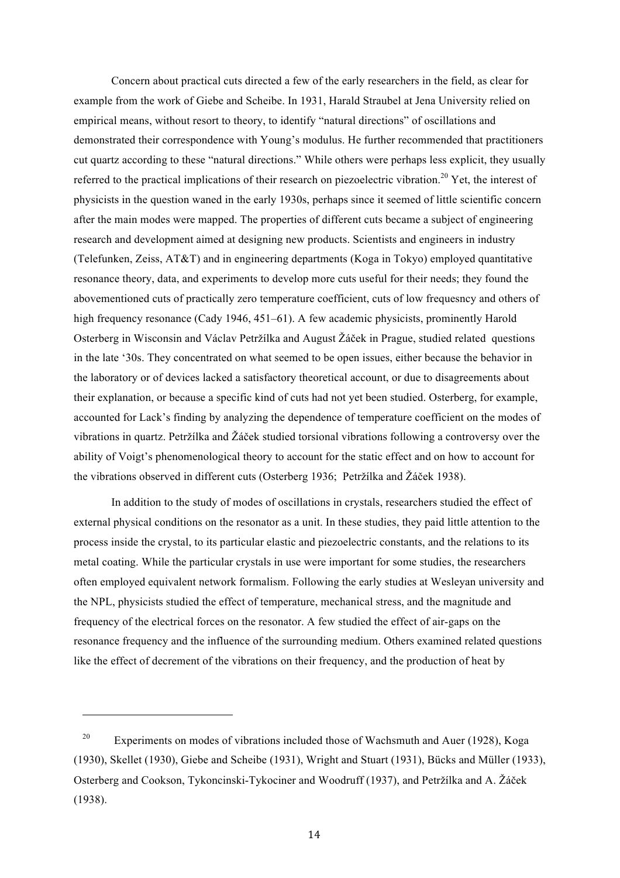Concern about practical cuts directed a few of the early researchers in the field, as clear for example from the work of Giebe and Scheibe. In 1931, Harald Straubel at Jena University relied on empirical means, without resort to theory, to identify "natural directions" of oscillations and demonstrated their correspondence with Young's modulus. He further recommended that practitioners cut quartz according to these "natural directions." While others were perhaps less explicit, they usually referred to the practical implications of their research on piezoelectric vibration.<sup>20</sup> Yet, the interest of physicists in the question waned in the early 1930s, perhaps since it seemed of little scientific concern after the main modes were mapped. The properties of different cuts became a subject of engineering research and development aimed at designing new products. Scientists and engineers in industry (Telefunken, Zeiss, AT&T) and in engineering departments (Koga in Tokyo) employed quantitative resonance theory, data, and experiments to develop more cuts useful for their needs; they found the abovementioned cuts of practically zero temperature coefficient, cuts of low frequesncy and others of high frequency resonance (Cady 1946, 451–61). A few academic physicists, prominently Harold Osterberg in Wisconsin and Václav Petržílka and August Žáček in Prague, studied related questions in the late '30s. They concentrated on what seemed to be open issues, either because the behavior in the laboratory or of devices lacked a satisfactory theoretical account, or due to disagreements about their explanation, or because a specific kind of cuts had not yet been studied. Osterberg, for example, accounted for Lack's finding by analyzing the dependence of temperature coefficient on the modes of vibrations in quartz. Petržílka and Žáček studied torsional vibrations following a controversy over the ability of Voigt's phenomenological theory to account for the static effect and on how to account for the vibrations observed in different cuts (Osterberg 1936; Petržílka and Žáček 1938).

In addition to the study of modes of oscillations in crystals, researchers studied the effect of external physical conditions on the resonator as a unit. In these studies, they paid little attention to the process inside the crystal, to its particular elastic and piezoelectric constants, and the relations to its metal coating. While the particular crystals in use were important for some studies, the researchers often employed equivalent network formalism. Following the early studies at Wesleyan university and the NPL, physicists studied the effect of temperature, mechanical stress, and the magnitude and frequency of the electrical forces on the resonator. A few studied the effect of air-gaps on the resonance frequency and the influence of the surrounding medium. Others examined related questions like the effect of decrement of the vibrations on their frequency, and the production of heat by

<sup>&</sup>lt;sup>20</sup> Experiments on modes of vibrations included those of Wachsmuth and Auer (1928), Koga (1930), Skellet (1930), Giebe and Scheibe (1931), Wright and Stuart (1931), Bücks and Müller (1933), Osterberg and Cookson, Tykoncinski-Tykociner and Woodruff (1937), and Petržílka and A. Žáček (1938).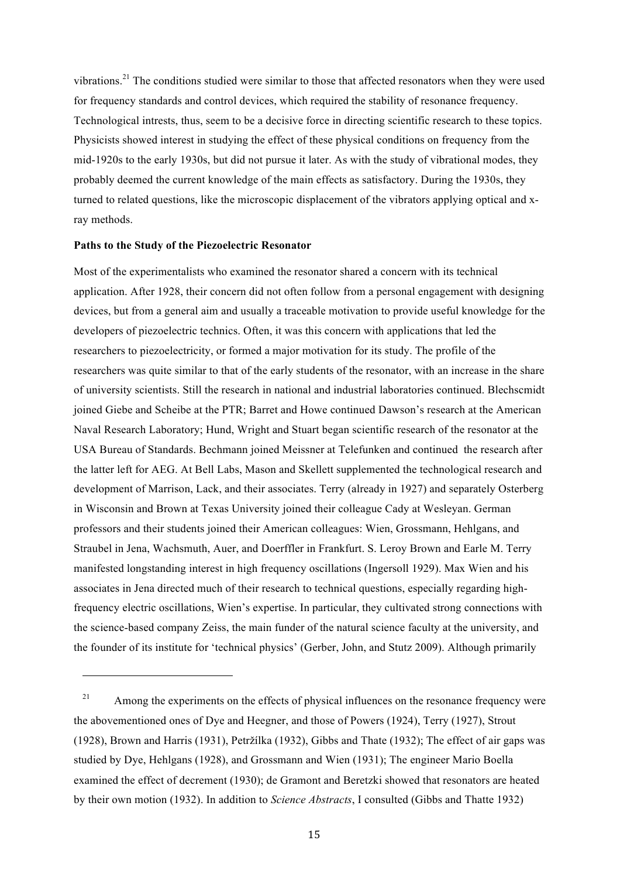vibrations.<sup>21</sup> The conditions studied were similar to those that affected resonators when they were used for frequency standards and control devices, which required the stability of resonance frequency. Technological intrests, thus, seem to be a decisive force in directing scientific research to these topics. Physicists showed interest in studying the effect of these physical conditions on frequency from the mid-1920s to the early 1930s, but did not pursue it later. As with the study of vibrational modes, they probably deemed the current knowledge of the main effects as satisfactory. During the 1930s, they turned to related questions, like the microscopic displacement of the vibrators applying optical and xray methods.

#### **Paths to the Study of the Piezoelectric Resonator**

<u> 1989 - Johann Stein, marwolaethau a bh</u>

Most of the experimentalists who examined the resonator shared a concern with its technical application. After 1928, their concern did not often follow from a personal engagement with designing devices, but from a general aim and usually a traceable motivation to provide useful knowledge for the developers of piezoelectric technics. Often, it was this concern with applications that led the researchers to piezoelectricity, or formed a major motivation for its study. The profile of the researchers was quite similar to that of the early students of the resonator, with an increase in the share of university scientists. Still the research in national and industrial laboratories continued. Blechscmidt joined Giebe and Scheibe at the PTR; Barret and Howe continued Dawson's research at the American Naval Research Laboratory; Hund, Wright and Stuart began scientific research of the resonator at the USA Bureau of Standards. Bechmann joined Meissner at Telefunken and continued the research after the latter left for AEG. At Bell Labs, Mason and Skellett supplemented the technological research and development of Marrison, Lack, and their associates. Terry (already in 1927) and separately Osterberg in Wisconsin and Brown at Texas University joined their colleague Cady at Wesleyan. German professors and their students joined their American colleagues: Wien, Grossmann, Hehlgans, and Straubel in Jena, Wachsmuth, Auer, and Doerffler in Frankfurt. S. Leroy Brown and Earle M. Terry manifested longstanding interest in high frequency oscillations (Ingersoll 1929). Max Wien and his associates in Jena directed much of their research to technical questions, especially regarding highfrequency electric oscillations, Wien's expertise. In particular, they cultivated strong connections with the science-based company Zeiss, the main funder of the natural science faculty at the university, and the founder of its institute for 'technical physics' (Gerber, John, and Stutz 2009). Although primarily

<sup>&</sup>lt;sup>21</sup> Among the experiments on the effects of physical influences on the resonance frequency were the abovementioned ones of Dye and Heegner, and those of Powers (1924), Terry (1927), Strout (1928), Brown and Harris (1931), Petržílka (1932), Gibbs and Thate (1932); The effect of air gaps was studied by Dye, Hehlgans (1928), and Grossmann and Wien (1931); The engineer Mario Boella examined the effect of decrement (1930); de Gramont and Beretzki showed that resonators are heated by their own motion (1932). In addition to *Science Abstracts*, I consulted (Gibbs and Thatte 1932)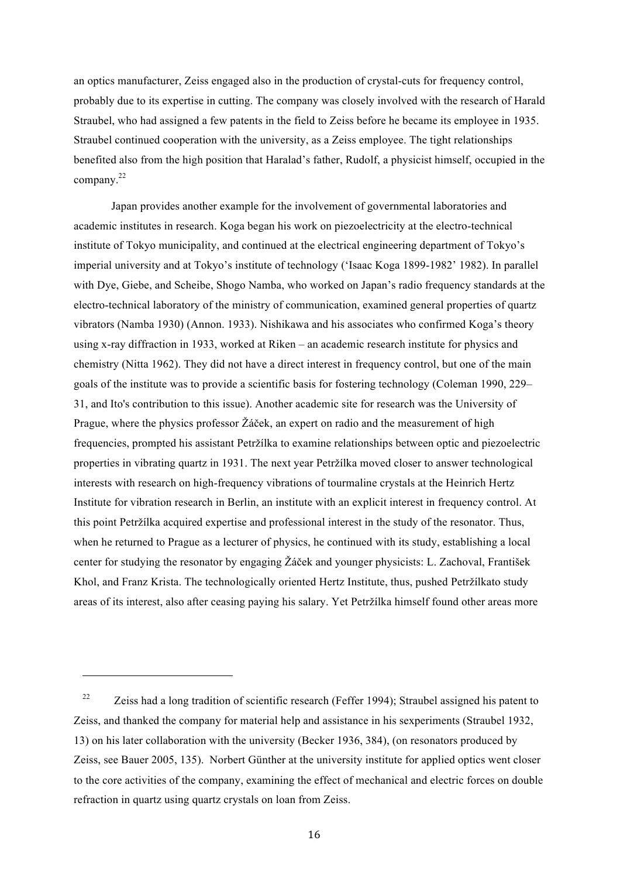an optics manufacturer, Zeiss engaged also in the production of crystal-cuts for frequency control, probably due to its expertise in cutting. The company was closely involved with the research of Harald Straubel, who had assigned a few patents in the field to Zeiss before he became its employee in 1935. Straubel continued cooperation with the university, as a Zeiss employee. The tight relationships benefited also from the high position that Haralad's father, Rudolf, a physicist himself, occupied in the company. 22

Japan provides another example for the involvement of governmental laboratories and academic institutes in research. Koga began his work on piezoelectricity at the electro-technical institute of Tokyo municipality, and continued at the electrical engineering department of Tokyo's imperial university and at Tokyo's institute of technology ('Isaac Koga 1899-1982' 1982). In parallel with Dye, Giebe, and Scheibe, Shogo Namba, who worked on Japan's radio frequency standards at the electro-technical laboratory of the ministry of communication, examined general properties of quartz vibrators (Namba 1930) (Annon. 1933). Nishikawa and his associates who confirmed Koga's theory using x-ray diffraction in 1933, worked at Riken – an academic research institute for physics and chemistry (Nitta 1962). They did not have a direct interest in frequency control, but one of the main goals of the institute was to provide a scientific basis for fostering technology (Coleman 1990, 229– 31, and Ito's contribution to this issue). Another academic site for research was the University of Prague, where the physics professor Žáček, an expert on radio and the measurement of high frequencies, prompted his assistant Petržílka to examine relationships between optic and piezoelectric properties in vibrating quartz in 1931. The next year Petržílka moved closer to answer technological interests with research on high-frequency vibrations of tourmaline crystals at the Heinrich Hertz Institute for vibration research in Berlin, an institute with an explicit interest in frequency control. At this point Petržílka acquired expertise and professional interest in the study of the resonator. Thus, when he returned to Prague as a lecturer of physics, he continued with its study, establishing a local center for studying the resonator by engaging Žáček and younger physicists: L. Zachoval, František Khol, and Franz Krista. The technologically oriented Hertz Institute, thus, pushed Petržílkato study areas of its interest, also after ceasing paying his salary. Yet Petržílka himself found other areas more

 $22$  Zeiss had a long tradition of scientific research (Feffer 1994); Straubel assigned his patent to Zeiss, and thanked the company for material help and assistance in his sexperiments (Straubel 1932, 13) on his later collaboration with the university (Becker 1936, 384), (on resonators produced by Zeiss, see Bauer 2005, 135). Norbert Günther at the university institute for applied optics went closer to the core activities of the company, examining the effect of mechanical and electric forces on double refraction in quartz using quartz crystals on loan from Zeiss.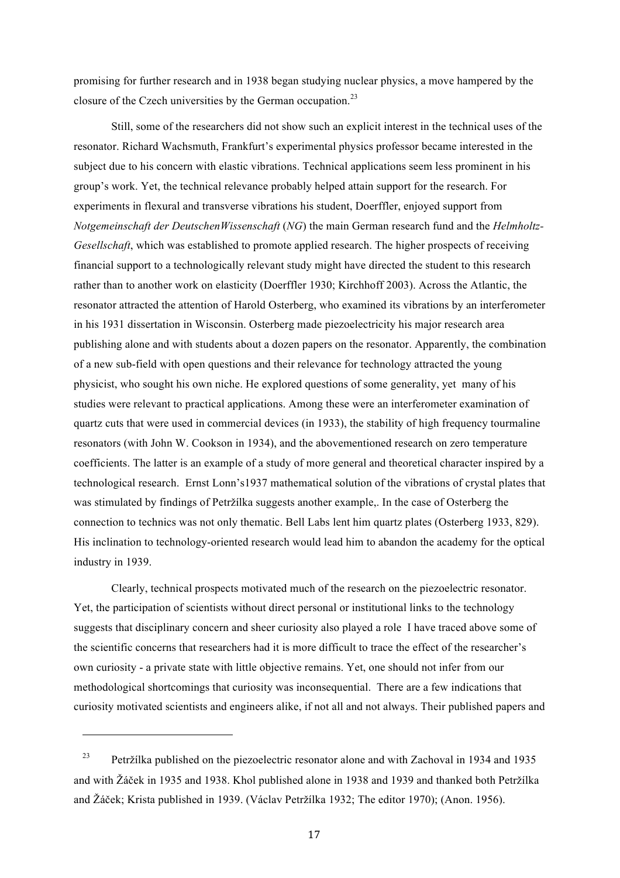promising for further research and in 1938 began studying nuclear physics, a move hampered by the closure of the Czech universities by the German occupation.<sup>23</sup>

Still, some of the researchers did not show such an explicit interest in the technical uses of the resonator. Richard Wachsmuth, Frankfurt's experimental physics professor became interested in the subject due to his concern with elastic vibrations. Technical applications seem less prominent in his group's work. Yet, the technical relevance probably helped attain support for the research. For experiments in flexural and transverse vibrations his student, Doerffler, enjoyed support from *Notgemeinschaft der DeutschenWissenschaft* (*NG*) the main German research fund and the *Helmholtz-Gesellschaft*, which was established to promote applied research. The higher prospects of receiving financial support to a technologically relevant study might have directed the student to this research rather than to another work on elasticity (Doerffler 1930; Kirchhoff 2003). Across the Atlantic, the resonator attracted the attention of Harold Osterberg, who examined its vibrations by an interferometer in his 1931 dissertation in Wisconsin. Osterberg made piezoelectricity his major research area publishing alone and with students about a dozen papers on the resonator. Apparently, the combination of a new sub-field with open questions and their relevance for technology attracted the young physicist, who sought his own niche. He explored questions of some generality, yet many of his studies were relevant to practical applications. Among these were an interferometer examination of quartz cuts that were used in commercial devices (in 1933), the stability of high frequency tourmaline resonators (with John W. Cookson in 1934), and the abovementioned research on zero temperature coefficients. The latter is an example of a study of more general and theoretical character inspired by a technological research. Ernst Lonn's1937 mathematical solution of the vibrations of crystal plates that was stimulated by findings of Petržílka suggests another example,. In the case of Osterberg the connection to technics was not only thematic. Bell Labs lent him quartz plates (Osterberg 1933, 829). His inclination to technology-oriented research would lead him to abandon the academy for the optical industry in 1939.

Clearly, technical prospects motivated much of the research on the piezoelectric resonator. Yet, the participation of scientists without direct personal or institutional links to the technology suggests that disciplinary concern and sheer curiosity also played a role I have traced above some of the scientific concerns that researchers had it is more difficult to trace the effect of the researcher's own curiosity - a private state with little objective remains. Yet, one should not infer from our methodological shortcomings that curiosity was inconsequential. There are a few indications that curiosity motivated scientists and engineers alike, if not all and not always. Their published papers and

<sup>&</sup>lt;sup>23</sup> Petržílka published on the piezoelectric resonator alone and with Zachoval in 1934 and 1935 and with Žáček in 1935 and 1938. Khol published alone in 1938 and 1939 and thanked both Petržílka and Žáček; Krista published in 1939. (Václav Petržílka 1932; The editor 1970); (Anon. 1956).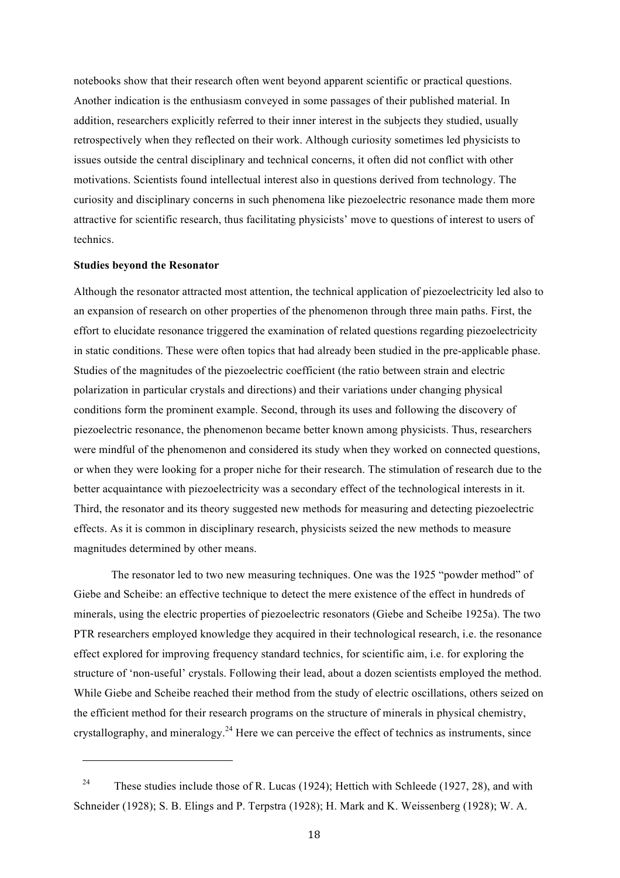notebooks show that their research often went beyond apparent scientific or practical questions. Another indication is the enthusiasm conveyed in some passages of their published material. In addition, researchers explicitly referred to their inner interest in the subjects they studied, usually retrospectively when they reflected on their work. Although curiosity sometimes led physicists to issues outside the central disciplinary and technical concerns, it often did not conflict with other motivations. Scientists found intellectual interest also in questions derived from technology. The curiosity and disciplinary concerns in such phenomena like piezoelectric resonance made them more attractive for scientific research, thus facilitating physicists' move to questions of interest to users of technics.

#### **Studies beyond the Resonator**

<u> 1989 - Johann Stein, marwolaethau a bh</u>

Although the resonator attracted most attention, the technical application of piezoelectricity led also to an expansion of research on other properties of the phenomenon through three main paths. First, the effort to elucidate resonance triggered the examination of related questions regarding piezoelectricity in static conditions. These were often topics that had already been studied in the pre-applicable phase. Studies of the magnitudes of the piezoelectric coefficient (the ratio between strain and electric polarization in particular crystals and directions) and their variations under changing physical conditions form the prominent example. Second, through its uses and following the discovery of piezoelectric resonance, the phenomenon became better known among physicists. Thus, researchers were mindful of the phenomenon and considered its study when they worked on connected questions, or when they were looking for a proper niche for their research. The stimulation of research due to the better acquaintance with piezoelectricity was a secondary effect of the technological interests in it. Third, the resonator and its theory suggested new methods for measuring and detecting piezoelectric effects. As it is common in disciplinary research, physicists seized the new methods to measure magnitudes determined by other means.

The resonator led to two new measuring techniques. One was the 1925 "powder method" of Giebe and Scheibe: an effective technique to detect the mere existence of the effect in hundreds of minerals, using the electric properties of piezoelectric resonators (Giebe and Scheibe 1925a). The two PTR researchers employed knowledge they acquired in their technological research, i.e. the resonance effect explored for improving frequency standard technics, for scientific aim, i.e. for exploring the structure of 'non-useful' crystals. Following their lead, about a dozen scientists employed the method. While Giebe and Scheibe reached their method from the study of electric oscillations, others seized on the efficient method for their research programs on the structure of minerals in physical chemistry, crystallography, and mineralogy.<sup>24</sup> Here we can perceive the effect of technics as instruments, since

<sup>&</sup>lt;sup>24</sup> These studies include those of R. Lucas (1924); Hettich with Schleede (1927, 28), and with Schneider (1928); S. B. Elings and P. Terpstra (1928); H. Mark and K. Weissenberg (1928); W. A.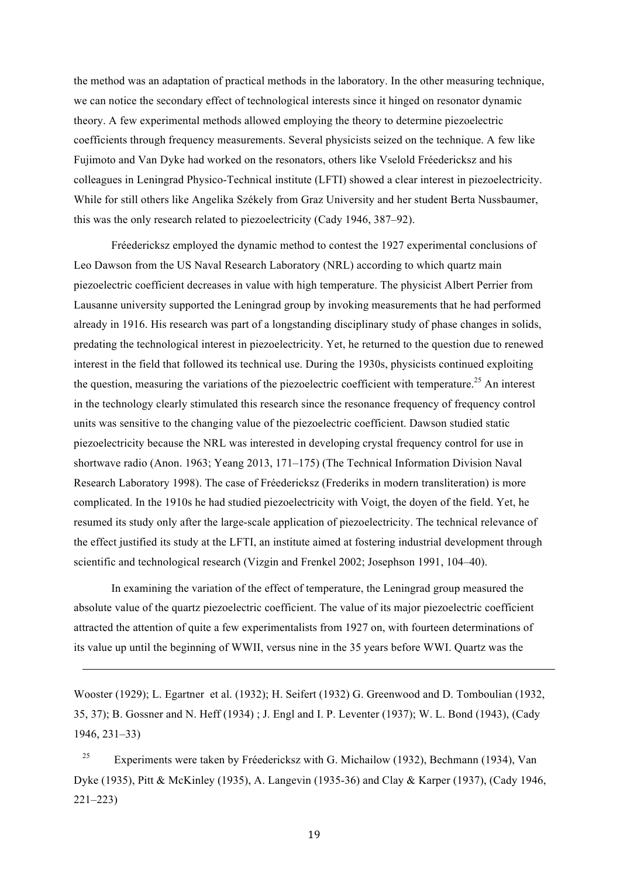the method was an adaptation of practical methods in the laboratory. In the other measuring technique, we can notice the secondary effect of technological interests since it hinged on resonator dynamic theory. A few experimental methods allowed employing the theory to determine piezoelectric coefficients through frequency measurements. Several physicists seized on the technique. A few like Fujimoto and Van Dyke had worked on the resonators, others like Vselold Fréedericksz and his colleagues in Leningrad Physico-Technical institute (LFTI) showed a clear interest in piezoelectricity. While for still others like Angelika Székely from Graz University and her student Berta Nussbaumer, this was the only research related to piezoelectricity (Cady 1946, 387–92).

Fréedericksz employed the dynamic method to contest the 1927 experimental conclusions of Leo Dawson from the US Naval Research Laboratory (NRL) according to which quartz main piezoelectric coefficient decreases in value with high temperature. The physicist Albert Perrier from Lausanne university supported the Leningrad group by invoking measurements that he had performed already in 1916. His research was part of a longstanding disciplinary study of phase changes in solids, predating the technological interest in piezoelectricity. Yet, he returned to the question due to renewed interest in the field that followed its technical use. During the 1930s, physicists continued exploiting the question, measuring the variations of the piezoelectric coefficient with temperature.<sup>25</sup> An interest in the technology clearly stimulated this research since the resonance frequency of frequency control units was sensitive to the changing value of the piezoelectric coefficient. Dawson studied static piezoelectricity because the NRL was interested in developing crystal frequency control for use in shortwave radio (Anon. 1963; Yeang 2013, 171–175) (The Technical Information Division Naval Research Laboratory 1998). The case of Fréedericksz (Frederiks in modern transliteration) is more complicated. In the 1910s he had studied piezoelectricity with Voigt, the doyen of the field. Yet, he resumed its study only after the large-scale application of piezoelectricity. The technical relevance of the effect justified its study at the LFTI, an institute aimed at fostering industrial development through scientific and technological research (Vizgin and Frenkel 2002; Josephson 1991, 104–40).

In examining the variation of the effect of temperature, the Leningrad group measured the absolute value of the quartz piezoelectric coefficient. The value of its major piezoelectric coefficient attracted the attention of quite a few experimentalists from 1927 on, with fourteen determinations of its value up until the beginning of WWII, versus nine in the 35 years before WWI. Quartz was the

Wooster (1929); L. Egartner et al. (1932); H. Seifert (1932) G. Greenwood and D. Tomboulian (1932, 35, 37); B. Gossner and N. Heff (1934) ; J. Engl and I. P. Leventer (1937); W. L. Bond (1943), (Cady 1946, 231–33)

<u> 1989 - Andrea Santa Andrea Andrea Andrea Andrea Andrea Andrea Andrea Andrea Andrea Andrea Andrea Andrea Andr</u>

<sup>25</sup> Experiments were taken by Fréedericksz with G. Michailow (1932), Bechmann (1934), Van Dyke (1935), Pitt & McKinley (1935), A. Langevin (1935-36) and Clay & Karper (1937), (Cady 1946, 221–223)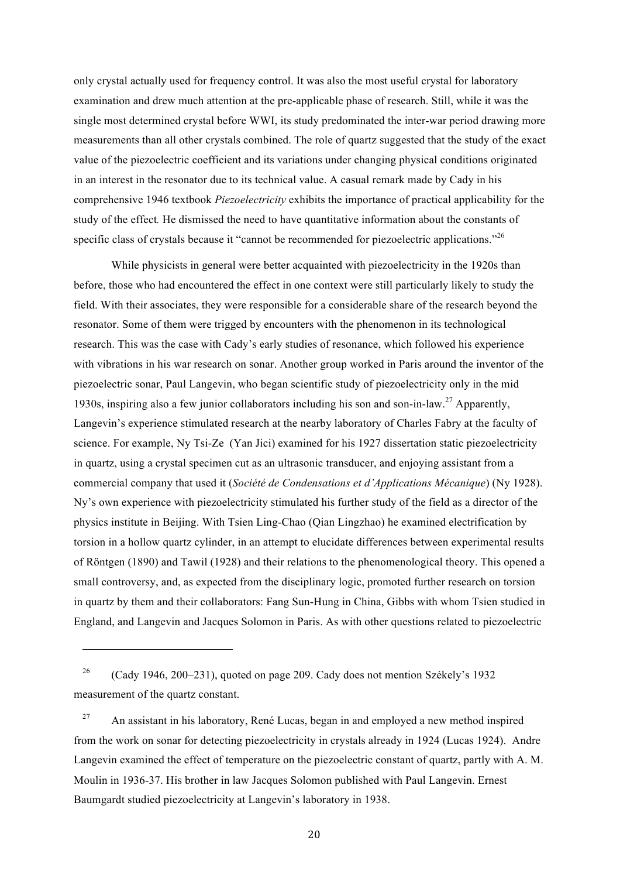only crystal actually used for frequency control. It was also the most useful crystal for laboratory examination and drew much attention at the pre-applicable phase of research. Still, while it was the single most determined crystal before WWI, its study predominated the inter-war period drawing more measurements than all other crystals combined. The role of quartz suggested that the study of the exact value of the piezoelectric coefficient and its variations under changing physical conditions originated in an interest in the resonator due to its technical value. A casual remark made by Cady in his comprehensive 1946 textbook *Piezoelectricity* exhibits the importance of practical applicability for the study of the effect*.* He dismissed the need to have quantitative information about the constants of specific class of crystals because it "cannot be recommended for piezoelectric applications."<sup>26</sup>

While physicists in general were better acquainted with piezoelectricity in the 1920s than before, those who had encountered the effect in one context were still particularly likely to study the field. With their associates, they were responsible for a considerable share of the research beyond the resonator. Some of them were trigged by encounters with the phenomenon in its technological research. This was the case with Cady's early studies of resonance, which followed his experience with vibrations in his war research on sonar. Another group worked in Paris around the inventor of the piezoelectric sonar, Paul Langevin, who began scientific study of piezoelectricity only in the mid 1930s, inspiring also a few junior collaborators including his son and son-in-law.<sup>27</sup> Apparently, Langevin's experience stimulated research at the nearby laboratory of Charles Fabry at the faculty of science. For example, Ny Tsi-Ze (Yan Jici) examined for his 1927 dissertation static piezoelectricity in quartz, using a crystal specimen cut as an ultrasonic transducer, and enjoying assistant from a commercial company that used it (*Société de Condensations et d'Applications Mécanique*) (Ny 1928). Ny's own experience with piezoelectricity stimulated his further study of the field as a director of the physics institute in Beijing. With Tsien Ling-Chao (Qian Lingzhao) he examined electrification by torsion in a hollow quartz cylinder, in an attempt to elucidate differences between experimental results of Röntgen (1890) and Tawil (1928) and their relations to the phenomenological theory. This opened a small controversy, and, as expected from the disciplinary logic, promoted further research on torsion in quartz by them and their collaborators: Fang Sun-Hung in China, Gibbs with whom Tsien studied in England, and Langevin and Jacques Solomon in Paris. As with other questions related to piezoelectric

<sup>&</sup>lt;sup>26</sup> (Cady 1946, 200–231), quoted on page 209. Cady does not mention Székely's 1932 measurement of the quartz constant.

<sup>&</sup>lt;sup>27</sup> An assistant in his laboratory, René Lucas, began in and employed a new method inspired from the work on sonar for detecting piezoelectricity in crystals already in 1924 (Lucas 1924). Andre Langevin examined the effect of temperature on the piezoelectric constant of quartz, partly with A. M. Moulin in 1936-37. His brother in law Jacques Solomon published with Paul Langevin. Ernest Baumgardt studied piezoelectricity at Langevin's laboratory in 1938.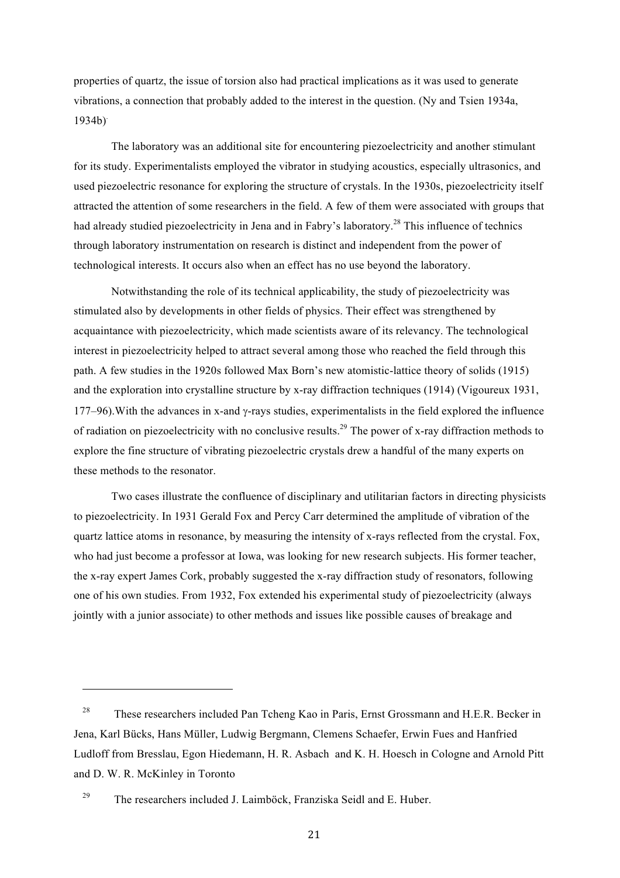properties of quartz, the issue of torsion also had practical implications as it was used to generate vibrations, a connection that probably added to the interest in the question. (Ny and Tsien 1934a, 1934b).

The laboratory was an additional site for encountering piezoelectricity and another stimulant for its study. Experimentalists employed the vibrator in studying acoustics, especially ultrasonics, and used piezoelectric resonance for exploring the structure of crystals. In the 1930s, piezoelectricity itself attracted the attention of some researchers in the field. A few of them were associated with groups that had already studied piezoelectricity in Jena and in Fabry's laboratory.<sup>28</sup> This influence of technics through laboratory instrumentation on research is distinct and independent from the power of technological interests. It occurs also when an effect has no use beyond the laboratory.

Notwithstanding the role of its technical applicability, the study of piezoelectricity was stimulated also by developments in other fields of physics. Their effect was strengthened by acquaintance with piezoelectricity, which made scientists aware of its relevancy. The technological interest in piezoelectricity helped to attract several among those who reached the field through this path. A few studies in the 1920s followed Max Born's new atomistic-lattice theory of solids (1915) and the exploration into crystalline structure by x-ray diffraction techniques (1914) (Vigoureux 1931, 177–96). With the advances in x-and  $\gamma$ -rays studies, experimentalists in the field explored the influence of radiation on piezoelectricity with no conclusive results.29 The power of x-ray diffraction methods to explore the fine structure of vibrating piezoelectric crystals drew a handful of the many experts on these methods to the resonator.

Two cases illustrate the confluence of disciplinary and utilitarian factors in directing physicists to piezoelectricity. In 1931 Gerald Fox and Percy Carr determined the amplitude of vibration of the quartz lattice atoms in resonance, by measuring the intensity of x-rays reflected from the crystal. Fox, who had just become a professor at Iowa, was looking for new research subjects. His former teacher, the x-ray expert James Cork, probably suggested the x-ray diffraction study of resonators, following one of his own studies. From 1932, Fox extended his experimental study of piezoelectricity (always jointly with a junior associate) to other methods and issues like possible causes of breakage and

 

<sup>&</sup>lt;sup>28</sup> These researchers included Pan Tcheng Kao in Paris, Ernst Grossmann and H.E.R. Becker in Jena, Karl Bücks, Hans Müller, Ludwig Bergmann, Clemens Schaefer, Erwin Fues and Hanfried Ludloff from Bresslau, Egon Hiedemann, H. R. Asbach and K. H. Hoesch in Cologne and Arnold Pitt and D. W. R. McKinley in Toronto

<sup>&</sup>lt;sup>29</sup> The researchers included J. Laimböck, Franziska Seidl and E. Huber.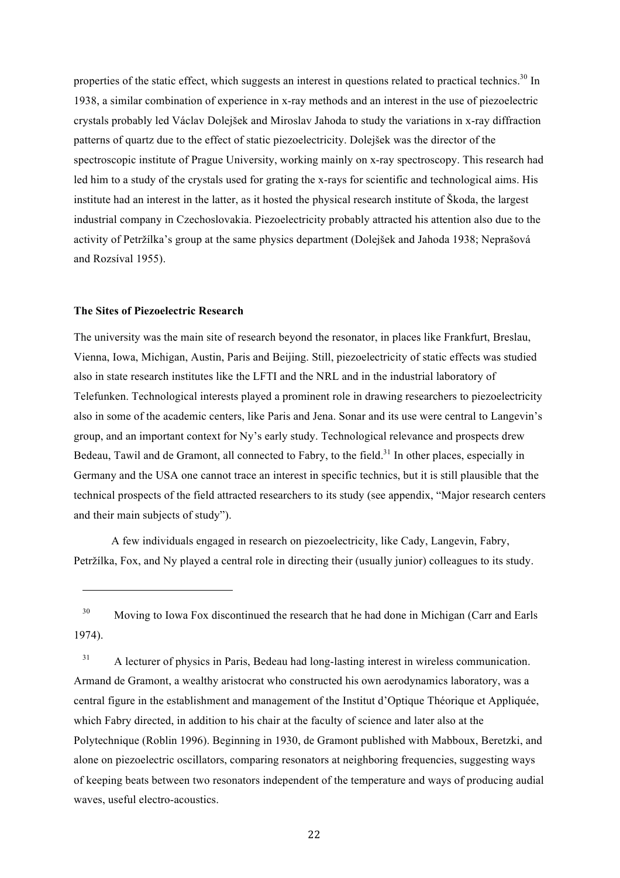properties of the static effect, which suggests an interest in questions related to practical technics.<sup>30</sup> In 1938, a similar combination of experience in x-ray methods and an interest in the use of piezoelectric crystals probably led Václav Dolejšek and Miroslav Jahoda to study the variations in x-ray diffraction patterns of quartz due to the effect of static piezoelectricity. Dolejšek was the director of the spectroscopic institute of Prague University, working mainly on x-ray spectroscopy. This research had led him to a study of the crystals used for grating the x-rays for scientific and technological aims. His institute had an interest in the latter, as it hosted the physical research institute of Škoda, the largest industrial company in Czechoslovakia. Piezoelectricity probably attracted his attention also due to the activity of Petržílka's group at the same physics department (Dolejšek and Jahoda 1938; Neprašová and Rozsíval 1955).

### **The Sites of Piezoelectric Research**

<u> 1989 - Johann Stein, marwolaethau a bh</u>

The university was the main site of research beyond the resonator, in places like Frankfurt, Breslau, Vienna, Iowa, Michigan, Austin, Paris and Beijing. Still, piezoelectricity of static effects was studied also in state research institutes like the LFTI and the NRL and in the industrial laboratory of Telefunken. Technological interests played a prominent role in drawing researchers to piezoelectricity also in some of the academic centers, like Paris and Jena. Sonar and its use were central to Langevin's group, and an important context for Ny's early study. Technological relevance and prospects drew Bedeau, Tawil and de Gramont, all connected to Fabry, to the field.<sup>31</sup> In other places, especially in Germany and the USA one cannot trace an interest in specific technics, but it is still plausible that the technical prospects of the field attracted researchers to its study (see appendix, "Major research centers and their main subjects of study").

A few individuals engaged in research on piezoelectricity, like Cady, Langevin, Fabry, Petržílka, Fox, and Ny played a central role in directing their (usually junior) colleagues to its study.

<sup>&</sup>lt;sup>30</sup> Moving to Iowa Fox discontinued the research that he had done in Michigan (Carr and Earls 1974).

<sup>&</sup>lt;sup>31</sup> A lecturer of physics in Paris, Bedeau had long-lasting interest in wireless communication. Armand de Gramont, a wealthy aristocrat who constructed his own aerodynamics laboratory, was a central figure in the establishment and management of the Institut d'Optique Théorique et Appliquée, which Fabry directed, in addition to his chair at the faculty of science and later also at the Polytechnique (Roblin 1996). Beginning in 1930, de Gramont published with Mabboux, Beretzki, and alone on piezoelectric oscillators, comparing resonators at neighboring frequencies, suggesting ways of keeping beats between two resonators independent of the temperature and ways of producing audial waves, useful electro-acoustics.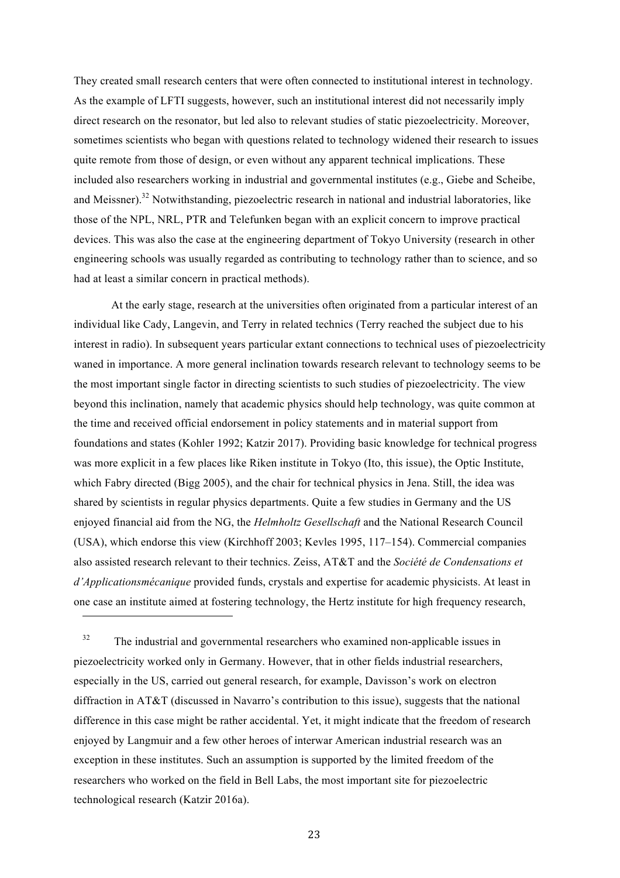They created small research centers that were often connected to institutional interest in technology. As the example of LFTI suggests, however, such an institutional interest did not necessarily imply direct research on the resonator, but led also to relevant studies of static piezoelectricity. Moreover, sometimes scientists who began with questions related to technology widened their research to issues quite remote from those of design, or even without any apparent technical implications. These included also researchers working in industrial and governmental institutes (e.g., Giebe and Scheibe, and Meissner).<sup>32</sup> Notwithstanding, piezoelectric research in national and industrial laboratories, like those of the NPL, NRL, PTR and Telefunken began with an explicit concern to improve practical devices. This was also the case at the engineering department of Tokyo University (research in other engineering schools was usually regarded as contributing to technology rather than to science, and so had at least a similar concern in practical methods).

At the early stage, research at the universities often originated from a particular interest of an individual like Cady, Langevin, and Terry in related technics (Terry reached the subject due to his interest in radio). In subsequent years particular extant connections to technical uses of piezoelectricity waned in importance. A more general inclination towards research relevant to technology seems to be the most important single factor in directing scientists to such studies of piezoelectricity. The view beyond this inclination, namely that academic physics should help technology, was quite common at the time and received official endorsement in policy statements and in material support from foundations and states (Kohler 1992; Katzir 2017). Providing basic knowledge for technical progress was more explicit in a few places like Riken institute in Tokyo (Ito, this issue), the Optic Institute, which Fabry directed (Bigg 2005), and the chair for technical physics in Jena. Still, the idea was shared by scientists in regular physics departments. Quite a few studies in Germany and the US enjoyed financial aid from the NG, the *Helmholtz Gesellschaft* and the National Research Council (USA), which endorse this view (Kirchhoff 2003; Kevles 1995, 117–154). Commercial companies also assisted research relevant to their technics. Zeiss, AT&T and the *Société de Condensations et d'Applicationsmécanique* provided funds, crystals and expertise for academic physicists. At least in one case an institute aimed at fostering technology, the Hertz institute for high frequency research,

<sup>&</sup>lt;sup>32</sup> The industrial and governmental researchers who examined non-applicable issues in piezoelectricity worked only in Germany. However, that in other fields industrial researchers, especially in the US, carried out general research, for example, Davisson's work on electron diffraction in AT&T (discussed in Navarro's contribution to this issue), suggests that the national difference in this case might be rather accidental. Yet, it might indicate that the freedom of research enjoyed by Langmuir and a few other heroes of interwar American industrial research was an exception in these institutes. Such an assumption is supported by the limited freedom of the researchers who worked on the field in Bell Labs, the most important site for piezoelectric technological research (Katzir 2016a).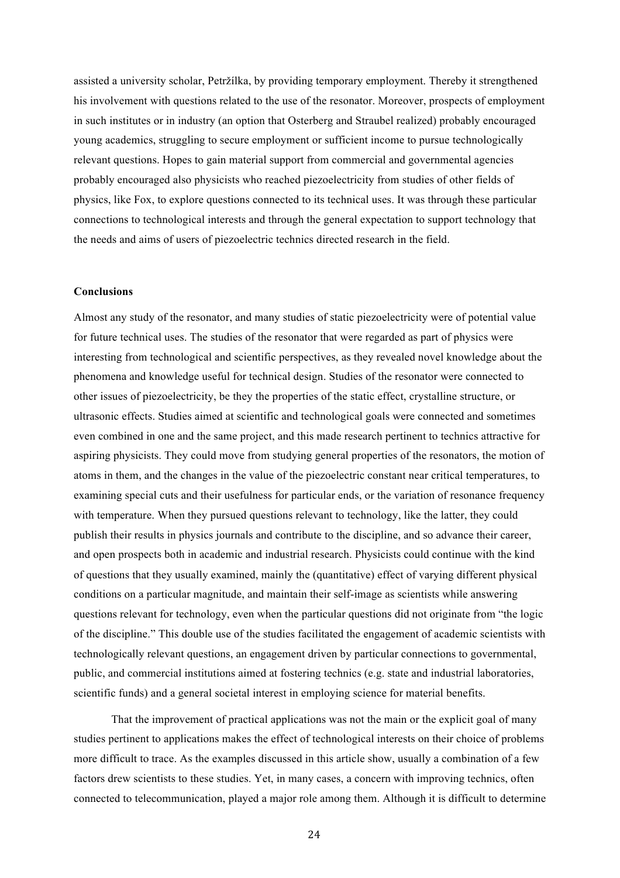assisted a university scholar, Petržílka, by providing temporary employment. Thereby it strengthened his involvement with questions related to the use of the resonator. Moreover, prospects of employment in such institutes or in industry (an option that Osterberg and Straubel realized) probably encouraged young academics, struggling to secure employment or sufficient income to pursue technologically relevant questions. Hopes to gain material support from commercial and governmental agencies probably encouraged also physicists who reached piezoelectricity from studies of other fields of physics, like Fox, to explore questions connected to its technical uses. It was through these particular connections to technological interests and through the general expectation to support technology that the needs and aims of users of piezoelectric technics directed research in the field.

## **Conclusions**

Almost any study of the resonator, and many studies of static piezoelectricity were of potential value for future technical uses. The studies of the resonator that were regarded as part of physics were interesting from technological and scientific perspectives, as they revealed novel knowledge about the phenomena and knowledge useful for technical design. Studies of the resonator were connected to other issues of piezoelectricity, be they the properties of the static effect, crystalline structure, or ultrasonic effects. Studies aimed at scientific and technological goals were connected and sometimes even combined in one and the same project, and this made research pertinent to technics attractive for aspiring physicists. They could move from studying general properties of the resonators, the motion of atoms in them, and the changes in the value of the piezoelectric constant near critical temperatures, to examining special cuts and their usefulness for particular ends, or the variation of resonance frequency with temperature. When they pursued questions relevant to technology, like the latter, they could publish their results in physics journals and contribute to the discipline, and so advance their career, and open prospects both in academic and industrial research. Physicists could continue with the kind of questions that they usually examined, mainly the (quantitative) effect of varying different physical conditions on a particular magnitude, and maintain their self-image as scientists while answering questions relevant for technology, even when the particular questions did not originate from "the logic of the discipline." This double use of the studies facilitated the engagement of academic scientists with technologically relevant questions, an engagement driven by particular connections to governmental, public, and commercial institutions aimed at fostering technics (e.g. state and industrial laboratories, scientific funds) and a general societal interest in employing science for material benefits.

That the improvement of practical applications was not the main or the explicit goal of many studies pertinent to applications makes the effect of technological interests on their choice of problems more difficult to trace. As the examples discussed in this article show, usually a combination of a few factors drew scientists to these studies. Yet, in many cases, a concern with improving technics, often connected to telecommunication, played a major role among them. Although it is difficult to determine

24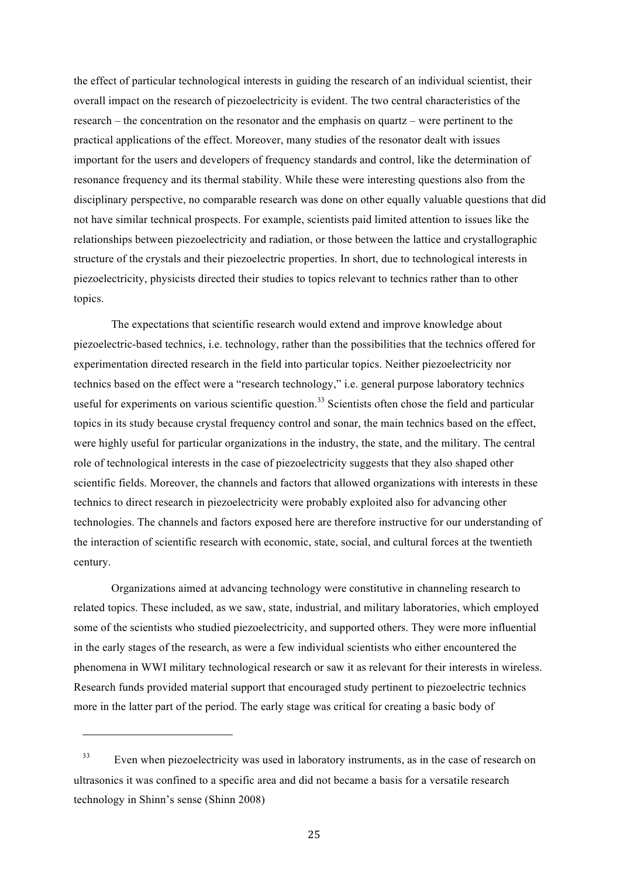the effect of particular technological interests in guiding the research of an individual scientist, their overall impact on the research of piezoelectricity is evident. The two central characteristics of the research – the concentration on the resonator and the emphasis on quartz – were pertinent to the practical applications of the effect. Moreover, many studies of the resonator dealt with issues important for the users and developers of frequency standards and control, like the determination of resonance frequency and its thermal stability. While these were interesting questions also from the disciplinary perspective, no comparable research was done on other equally valuable questions that did not have similar technical prospects. For example, scientists paid limited attention to issues like the relationships between piezoelectricity and radiation, or those between the lattice and crystallographic structure of the crystals and their piezoelectric properties. In short, due to technological interests in piezoelectricity, physicists directed their studies to topics relevant to technics rather than to other topics.

The expectations that scientific research would extend and improve knowledge about piezoelectric-based technics, i.e. technology, rather than the possibilities that the technics offered for experimentation directed research in the field into particular topics. Neither piezoelectricity nor technics based on the effect were a "research technology," i.e. general purpose laboratory technics useful for experiments on various scientific question.<sup>33</sup> Scientists often chose the field and particular topics in its study because crystal frequency control and sonar, the main technics based on the effect, were highly useful for particular organizations in the industry, the state, and the military. The central role of technological interests in the case of piezoelectricity suggests that they also shaped other scientific fields. Moreover, the channels and factors that allowed organizations with interests in these technics to direct research in piezoelectricity were probably exploited also for advancing other technologies. The channels and factors exposed here are therefore instructive for our understanding of the interaction of scientific research with economic, state, social, and cultural forces at the twentieth century.

Organizations aimed at advancing technology were constitutive in channeling research to related topics. These included, as we saw, state, industrial, and military laboratories, which employed some of the scientists who studied piezoelectricity, and supported others. They were more influential in the early stages of the research, as were a few individual scientists who either encountered the phenomena in WWI military technological research or saw it as relevant for their interests in wireless. Research funds provided material support that encouraged study pertinent to piezoelectric technics more in the latter part of the period. The early stage was critical for creating a basic body of

<sup>&</sup>lt;sup>33</sup> Even when piezoelectricity was used in laboratory instruments, as in the case of research on ultrasonics it was confined to a specific area and did not became a basis for a versatile research technology in Shinn's sense (Shinn 2008)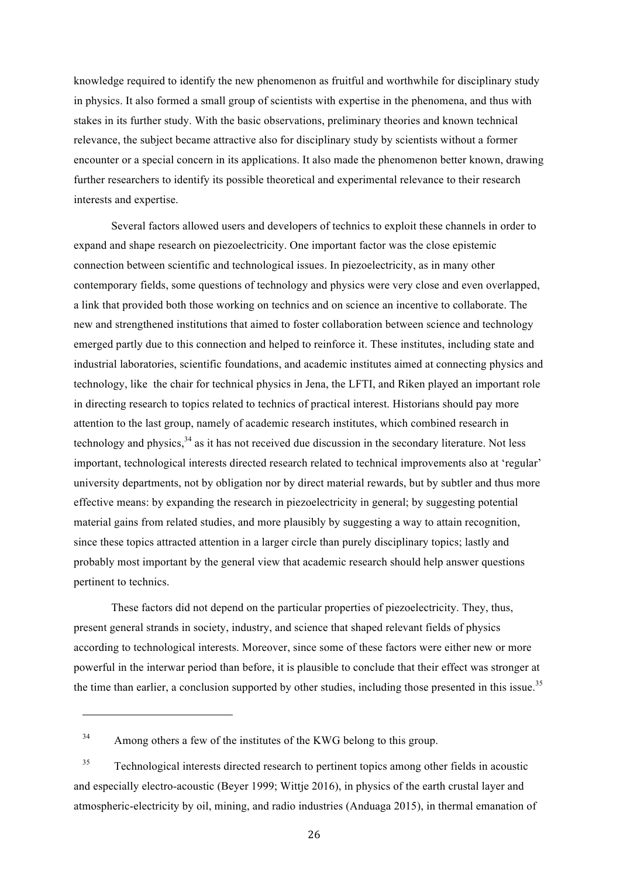knowledge required to identify the new phenomenon as fruitful and worthwhile for disciplinary study in physics. It also formed a small group of scientists with expertise in the phenomena, and thus with stakes in its further study. With the basic observations, preliminary theories and known technical relevance, the subject became attractive also for disciplinary study by scientists without a former encounter or a special concern in its applications. It also made the phenomenon better known, drawing further researchers to identify its possible theoretical and experimental relevance to their research interests and expertise.

Several factors allowed users and developers of technics to exploit these channels in order to expand and shape research on piezoelectricity. One important factor was the close epistemic connection between scientific and technological issues. In piezoelectricity, as in many other contemporary fields, some questions of technology and physics were very close and even overlapped, a link that provided both those working on technics and on science an incentive to collaborate. The new and strengthened institutions that aimed to foster collaboration between science and technology emerged partly due to this connection and helped to reinforce it. These institutes, including state and industrial laboratories, scientific foundations, and academic institutes aimed at connecting physics and technology, like the chair for technical physics in Jena, the LFTI, and Riken played an important role in directing research to topics related to technics of practical interest. Historians should pay more attention to the last group, namely of academic research institutes, which combined research in technology and physics, $34$  as it has not received due discussion in the secondary literature. Not less important, technological interests directed research related to technical improvements also at 'regular' university departments, not by obligation nor by direct material rewards, but by subtler and thus more effective means: by expanding the research in piezoelectricity in general; by suggesting potential material gains from related studies, and more plausibly by suggesting a way to attain recognition, since these topics attracted attention in a larger circle than purely disciplinary topics; lastly and probably most important by the general view that academic research should help answer questions pertinent to technics.

These factors did not depend on the particular properties of piezoelectricity. They, thus, present general strands in society, industry, and science that shaped relevant fields of physics according to technological interests. Moreover, since some of these factors were either new or more powerful in the interwar period than before, it is plausible to conclude that their effect was stronger at the time than earlier, a conclusion supported by other studies, including those presented in this issue.<sup>35</sup>

<sup>&</sup>lt;sup>34</sup> Among others a few of the institutes of the KWG belong to this group.

<sup>&</sup>lt;sup>35</sup> Technological interests directed research to pertinent topics among other fields in acoustic and especially electro-acoustic (Beyer 1999; Wittje 2016), in physics of the earth crustal layer and atmospheric-electricity by oil, mining, and radio industries (Anduaga 2015), in thermal emanation of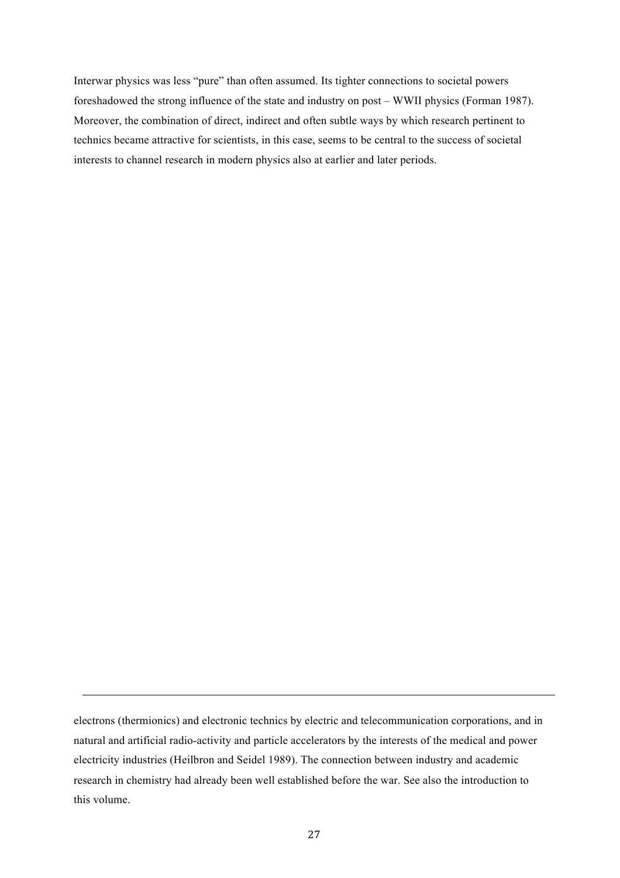Interwar physics was less "pure" than often assumed. Its tighter connections to societal powers foreshadowed the strong influence of the state and industry on post – WWII physics (Forman 1987). Moreover, the combination of direct, indirect and often subtle ways by which research pertinent to technics became attractive for scientists, in this case, seems to be central to the success of societal interests to channel research in modern physics also at earlier and later periods.

<u> 1989 - Johann Stoff, amerikansk politiker (d. 1989)</u>

electrons (thermionics) and electronic technics by electric and telecommunication corporations, and in natural and artificial radio-activity and particle accelerators by the interests of the medical and power electricity industries (Heilbron and Seidel 1989). The connection between industry and academic research in chemistry had already been well established before the war. See also the introduction to this volume.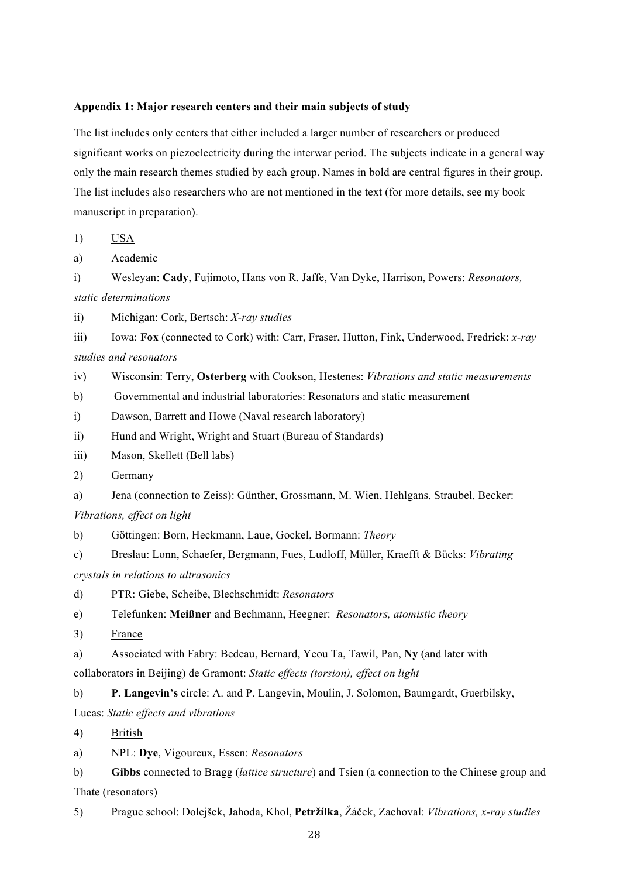### **Appendix 1: Major research centers and their main subjects of study**

The list includes only centers that either included a larger number of researchers or produced significant works on piezoelectricity during the interwar period. The subjects indicate in a general way only the main research themes studied by each group. Names in bold are central figures in their group. The list includes also researchers who are not mentioned in the text (for more details, see my book manuscript in preparation).

1) USA

a) Academic

i) Wesleyan: **Cady**, Fujimoto, Hans von R. Jaffe, Van Dyke, Harrison, Powers: *Resonators, static determinations*

ii) Michigan: Cork, Bertsch: *X-ray studies*

iii) Iowa: **Fox** (connected to Cork) with: Carr, Fraser, Hutton, Fink, Underwood, Fredrick: *x-ray studies and resonators*

iv) Wisconsin: Terry, **Osterberg** with Cookson, Hestenes: *Vibrations and static measurements*

b) Governmental and industrial laboratories: Resonators and static measurement

i) Dawson, Barrett and Howe (Naval research laboratory)

ii) Hund and Wright, Wright and Stuart (Bureau of Standards)

iii) Mason, Skellett (Bell labs)

2) Germany

a) Jena (connection to Zeiss): Günther, Grossmann, M. Wien, Hehlgans, Straubel, Becker:

*Vibrations, effect on light*

b) Göttingen: Born, Heckmann, Laue, Gockel, Bormann: *Theory*

c) Breslau: Lonn, Schaefer, Bergmann, Fues, Ludloff, Müller, Kraefft & Bücks: *Vibrating* 

*crystals in relations to ultrasonics*

d) PTR: Giebe, Scheibe, Blechschmidt: *Resonators*

e) Telefunken: **Meißner** and Bechmann, Heegner: *Resonators, atomistic theory*

3) France

a) Associated with Fabry: Bedeau, Bernard, Yeou Ta, Tawil, Pan, **Ny** (and later with collaborators in Beijing) de Gramont: *Static effects (torsion), effect on light*

b) **P. Langevin's** circle: A. and P. Langevin, Moulin, J. Solomon, Baumgardt, Guerbilsky,

Lucas: *Static effects and vibrations*

4) British

a) NPL: **Dye**, Vigoureux, Essen: *Resonators*

b) **Gibbs** connected to Bragg (*lattice structure*) and Tsien (a connection to the Chinese group and Thate (resonators)

5) Prague school: Dolejšek, Jahoda, Khol, **Petržílka**, Žáček, Zachoval: *Vibrations, x-ray studies*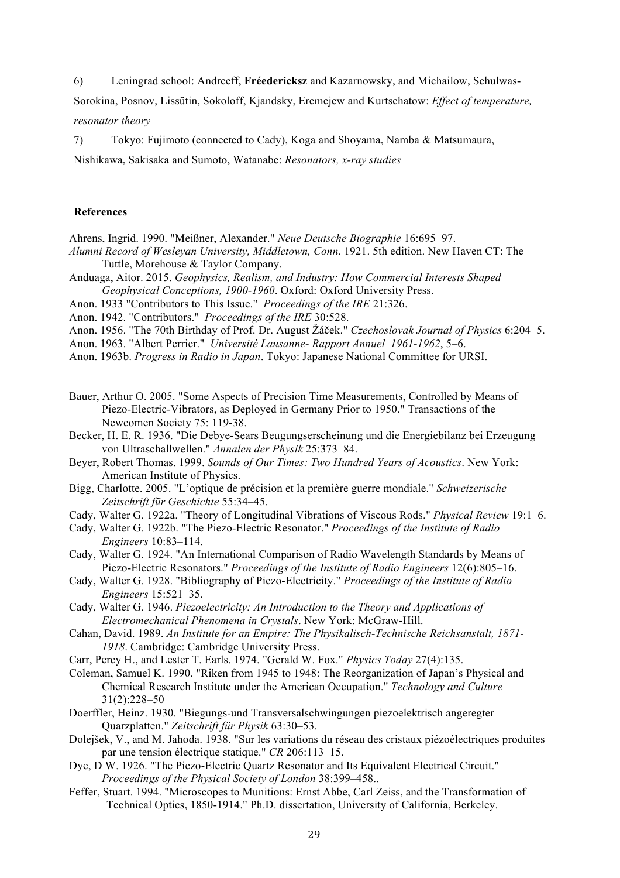6) Leningrad school: Andreeff, **Fréedericksz** and Kazarnowsky, and Michailow, Schulwas-

Sorokina, Posnov, Lissütin, Sokoloff, Kjandsky, Eremejew and Kurtschatow: *Effect of temperature,* 

*resonator theory*

7) Tokyo: Fujimoto (connected to Cady), Koga and Shoyama, Namba & Matsumaura,

Nishikawa, Sakisaka and Sumoto, Watanabe: *Resonators, x-ray studies*

## **References**

Ahrens, Ingrid. 1990. "Meißner, Alexander." *Neue Deutsche Biographie* 16:695–97.

- *Alumni Record of Wesleyan University, Middletown, Conn*. 1921. 5th edition. New Haven CT: The Tuttle, Morehouse & Taylor Company.
- Anduaga, Aitor. 2015. *Geophysics, Realism, and Industry: How Commercial Interests Shaped Geophysical Conceptions, 1900-1960*. Oxford: Oxford University Press.
- Anon. 1933 "Contributors to This Issue." *Proceedings of the IRE* 21:326.
- Anon. 1942. "Contributors." *Proceedings of the IRE* 30:528.
- Anon. 1956. "The 70th Birthday of Prof. Dr. August Žáček." *Czechoslovak Journal of Physics* 6:204–5.
- Anon. 1963. "Albert Perrier." *Université Lausanne- Rapport Annuel 1961-1962*, 5–6.
- Anon. 1963b. *Progress in Radio in Japan*. Tokyo: Japanese National Committee for URSI.
- Bauer, Arthur O. 2005. "Some Aspects of Precision Time Measurements, Controlled by Means of Piezo-Electric-Vibrators, as Deployed in Germany Prior to 1950." Transactions of the Newcomen Society 75: 119-38.
- Becker, H. E. R. 1936. "Die Debye-Sears Beugungserscheinung und die Energiebilanz bei Erzeugung von Ultraschallwellen." *Annalen der Physik* 25:373–84.
- Beyer, Robert Thomas. 1999. *Sounds of Our Times: Two Hundred Years of Acoustics*. New York: American Institute of Physics.
- Bigg, Charlotte. 2005. "L'optique de précision et la première guerre mondiale." *Schweizerische Zeitschrift für Geschichte* 55:34–45.
- Cady, Walter G. 1922a. "Theory of Longitudinal Vibrations of Viscous Rods." *Physical Review* 19:1–6.
- Cady, Walter G. 1922b. "The Piezo-Electric Resonator." *Proceedings of the Institute of Radio Engineers* 10:83–114.
- Cady, Walter G. 1924. "An International Comparison of Radio Wavelength Standards by Means of Piezo-Electric Resonators." *Proceedings of the Institute of Radio Engineers* 12(6):805–16.
- Cady, Walter G. 1928. "Bibliography of Piezo-Electricity." *Proceedings of the Institute of Radio Engineers* 15:521–35.
- Cady, Walter G. 1946. *Piezoelectricity: An Introduction to the Theory and Applications of Electromechanical Phenomena in Crystals*. New York: McGraw-Hill.
- Cahan, David. 1989. *An Institute for an Empire: The Physikalisch-Technische Reichsanstalt, 1871- 1918*. Cambridge: Cambridge University Press.
- Carr, Percy H., and Lester T. Earls. 1974. "Gerald W. Fox." *Physics Today* 27(4):135.
- Coleman, Samuel K. 1990. "Riken from 1945 to 1948: The Reorganization of Japan's Physical and Chemical Research Institute under the American Occupation." *Technology and Culture* 31(2):228–50
- Doerffler, Heinz. 1930. "Biegungs-und Transversalschwingungen piezoelektrisch angeregter Quarzplatten." *Zeitschrift für Physik* 63:30–53.
- Dolejšek, V., and M. Jahoda. 1938. "Sur les variations du réseau des cristaux piézoélectriques produites par une tension électrique statique." *CR* 206:113–15.
- Dye, D W. 1926. "The Piezo-Electric Quartz Resonator and Its Equivalent Electrical Circuit." *Proceedings of the Physical Society of London* 38:399–458..
- Feffer, Stuart. 1994. "Microscopes to Munitions: Ernst Abbe, Carl Zeiss, and the Transformation of Technical Optics, 1850-1914." Ph.D. dissertation, University of California, Berkeley.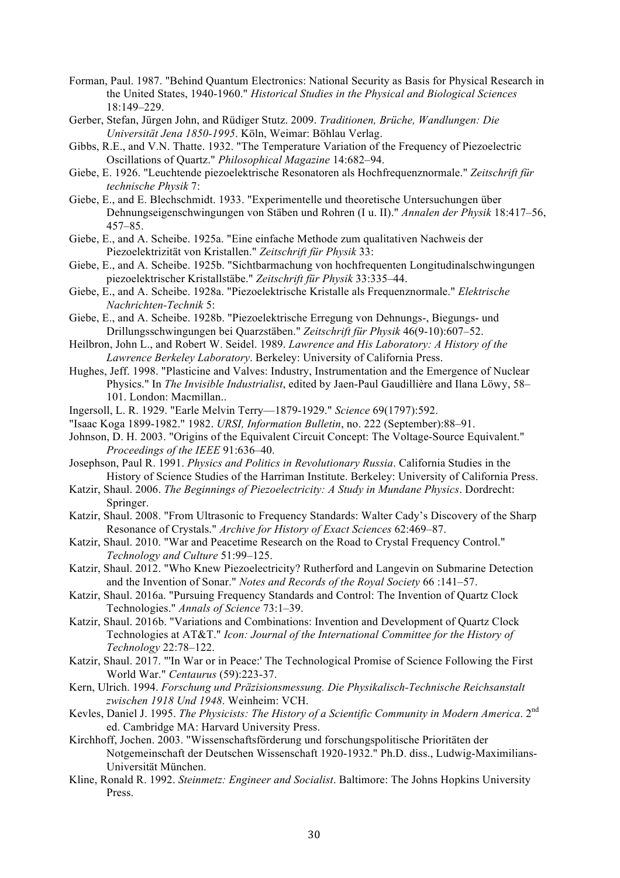- Forman, Paul. 1987. "Behind Quantum Electronics: National Security as Basis for Physical Research in the United States, 1940-1960." *Historical Studies in the Physical and Biological Sciences* 18:149–229.
- Gerber, Stefan, Jürgen John, and Rüdiger Stutz. 2009. *Traditionen, Brüche, Wandlungen: Die Universität Jena 1850-1995*. Köln, Weimar: Böhlau Verlag.
- Gibbs, R.E., and V.N. Thatte. 1932. "The Temperature Variation of the Frequency of Piezoelectric Oscillations of Quartz." *Philosophical Magazine* 14:682–94.
- Giebe, E. 1926. "Leuchtende piezoelektrische Resonatoren als Hochfrequenznormale." *Zeitschrift für technische Physik* 7:
- Giebe, E., and E. Blechschmidt. 1933. "Experimentelle und theoretische Untersuchungen über Dehnungseigenschwingungen von Stäben und Rohren (I u. II)." *Annalen der Physik* 18:417–56, 457–85.
- Giebe, E., and A. Scheibe. 1925a. "Eine einfache Methode zum qualitativen Nachweis der Piezoelektrizität von Kristallen." *Zeitschrift für Physik* 33:
- Giebe, E., and A. Scheibe. 1925b. "Sichtbarmachung von hochfrequenten Longitudinalschwingungen piezoelektrischer Kristallstäbe." *Zeitschrift für Physik* 33:335–44.
- Giebe, E., and A. Scheibe. 1928a. "Piezoelektrische Kristalle als Frequenznormale." *Elektrische Nachrichten-Technik* 5:
- Giebe, E., and A. Scheibe. 1928b. "Piezoelektrische Erregung von Dehnungs-, Biegungs- und Drillungsschwingungen bei Quarzstäben." *Zeitschrift für Physik* 46(9-10):607–52.
- Heilbron, John L., and Robert W. Seidel. 1989. *Lawrence and His Laboratory: A History of the Lawrence Berkeley Laboratory*. Berkeley: University of California Press.
- Hughes, Jeff. 1998. "Plasticine and Valves: Industry, Instrumentation and the Emergence of Nuclear Physics." In *The Invisible Industrialist*, edited by Jaen-Paul Gaudillière and Ilana Löwy, 58– 101. London: Macmillan..
- Ingersoll, L. R. 1929. "Earle Melvin Terry—1879-1929." *Science* 69(1797):592.
- "Isaac Koga 1899-1982." 1982. *URSI, Information Bulletin*, no. 222 (September):88–91.
- Johnson, D. H. 2003. "Origins of the Equivalent Circuit Concept: The Voltage-Source Equivalent." *Proceedings of the IEEE* 91:636–40.
- Josephson, Paul R. 1991. *Physics and Politics in Revolutionary Russia*. California Studies in the History of Science Studies of the Harriman Institute. Berkeley: University of California Press.
- Katzir, Shaul. 2006. *The Beginnings of Piezoelectricity: A Study in Mundane Physics*. Dordrecht: Springer.
- Katzir, Shaul. 2008. "From Ultrasonic to Frequency Standards: Walter Cady's Discovery of the Sharp Resonance of Crystals." *Archive for History of Exact Sciences* 62:469–87.
- Katzir, Shaul. 2010. "War and Peacetime Research on the Road to Crystal Frequency Control." *Technology and Culture* 51:99–125.
- Katzir, Shaul. 2012. "Who Knew Piezoelectricity? Rutherford and Langevin on Submarine Detection and the Invention of Sonar." *Notes and Records of the Royal Society* 66 :141–57.
- Katzir, Shaul. 2016a. "Pursuing Frequency Standards and Control: The Invention of Quartz Clock Technologies." *Annals of Science* 73:1–39.
- Katzir, Shaul. 2016b. "Variations and Combinations: Invention and Development of Quartz Clock Technologies at AT&T." *Icon: Journal of the International Committee for the History of Technology* 22:78–122.
- Katzir, Shaul. 2017. "'In War or in Peace:' The Technological Promise of Science Following the First World War." *Centaurus* (59):223-37.
- Kern, Ulrich. 1994. *Forschung und Präzisionsmessung. Die Physikalisch-Technische Reichsanstalt zwischen 1918 Und 1948*. Weinheim: VCH.
- Kevles, Daniel J. 1995. *The Physicists: The History of a Scientific Community in Modern America*. 2nd ed. Cambridge MA: Harvard University Press.
- Kirchhoff, Jochen. 2003. "Wissenschaftsförderung und forschungspolitische Prioritäten der Notgemeinschaft der Deutschen Wissenschaft 1920-1932." Ph.D. diss., Ludwig-Maximilians-Universität München.
- Kline, Ronald R. 1992. *Steinmetz: Engineer and Socialist*. Baltimore: The Johns Hopkins University Press.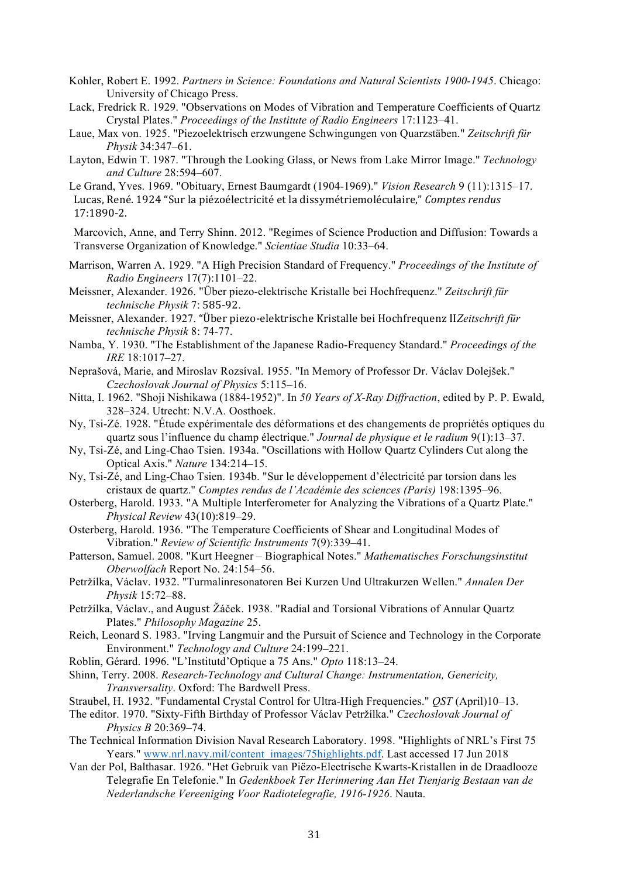- Kohler, Robert E. 1992. *Partners in Science: Foundations and Natural Scientists 1900-1945*. Chicago: University of Chicago Press.
- Lack, Fredrick R. 1929. "Observations on Modes of Vibration and Temperature Coefficients of Quartz Crystal Plates." *Proceedings of the Institute of Radio Engineers* 17:1123–41.
- Laue, Max von. 1925. "Piezoelektrisch erzwungene Schwingungen von Quarzstäben." *Zeitschrift für Physik* 34:347–61.
- Layton, Edwin T. 1987. "Through the Looking Glass, or News from Lake Mirror Image." *Technology and Culture* 28:594–607.
- Le Grand, Yves. 1969. "Obituary, Ernest Baumgardt (1904-1969)." *Vision Research* 9 (11):1315–17. Lucas, René. 1924 "Sur la piézoélectricité et la dissymétriemoléculaire," Comptes rendus 17:1890-2.

Marcovich, Anne, and Terry Shinn. 2012. "Regimes of Science Production and Diffusion: Towards a Transverse Organization of Knowledge." *Scientiae Studia* 10:33–64.

- Marrison, Warren A. 1929. "A High Precision Standard of Frequency." *Proceedings of the Institute of Radio Engineers* 17(7):1101–22.
- Meissner, Alexander. 1926. "Über piezo-elektrische Kristalle bei Hochfrequenz." *Zeitschrift für technische Physik* 7: 585-92.
- Meissner, Alexander. 1927. "Über piezo-elektrische Kristalle bei Hochfrequenz II*Zeitschrift für technische Physik* 8: 74-77.
- Namba, Y. 1930. "The Establishment of the Japanese Radio-Frequency Standard." *Proceedings of the IRE* 18:1017–27.
- Neprašová, Marie, and Miroslav Rozsíval. 1955. "In Memory of Professor Dr. Václav Dolejšek." *Czechoslovak Journal of Physics* 5:115–16.
- Nitta, I. 1962. "Shoji Nishikawa (1884-1952)". In *50 Years of X-Ray Diffraction*, edited by P. P. Ewald, 328–324. Utrecht: N.V.A. Oosthoek.
- Ny, Tsi-Zé. 1928. "Étude expérimentale des déformations et des changements de propriétés optiques du quartz sous l'influence du champ électrique." *Journal de physique et le radium* 9(1):13–37.
- Ny, Tsi-Zé, and Ling-Chao Tsien. 1934a. "Oscillations with Hollow Quartz Cylinders Cut along the Optical Axis." *Nature* 134:214–15.
- Ny, Tsi-Zé, and Ling-Chao Tsien. 1934b. "Sur le développement d'électricité par torsion dans les cristaux de quartz." *Comptes rendus de l'Académie des sciences (Paris)* 198:1395–96.
- Osterberg, Harold. 1933. "A Multiple Interferometer for Analyzing the Vibrations of a Quartz Plate." *Physical Review* 43(10):819–29.
- Osterberg, Harold. 1936. "The Temperature Coefficients of Shear and Longitudinal Modes of Vibration." *Review of Scientific Instruments* 7(9):339–41.
- Patterson, Samuel. 2008. "Kurt Heegner Biographical Notes." *Mathematisches Forschungsinstitut Oberwolfach* Report No. 24:154–56.
- Petržílka, Václav. 1932. "Turmalinresonatoren Bei Kurzen Und Ultrakurzen Wellen." *Annalen Der Physik* 15:72–88.
- Petržílka, Václav., and August Žáček. 1938. "Radial and Torsional Vibrations of Annular Quartz Plates." *Philosophy Magazine* 25.
- Reich, Leonard S. 1983. "Irving Langmuir and the Pursuit of Science and Technology in the Corporate Environment." *Technology and Culture* 24:199–221.
- Roblin, Gérard. 1996. "L'Institutd'Optique a 75 Ans." *Opto* 118:13–24.
- Shinn, Terry. 2008. *Research-Technology and Cultural Change: Instrumentation, Genericity, Transversality*. Oxford: The Bardwell Press.
- Straubel, H. 1932. "Fundamental Crystal Control for Ultra-High Frequencies." *QST* (April)10–13.
- The editor. 1970. "Sixty-Fifth Birthday of Professor Václav Petržílka." *Czechoslovak Journal of Physics B* 20:369–74.
- The Technical Information Division Naval Research Laboratory. 1998. "Highlights of NRL's First 75 Years." www.nrl.navy.mil/content\_images/75highlights.pdf. Last accessed 17 Jun 2018
- Van der Pol, Balthasar. 1926. "Het Gebruik van Piëzo-Electrische Kwarts-Kristallen in de Draadlooze Telegrafie En Telefonie." In *Gedenkboek Ter Herinnering Aan Het Tienjarig Bestaan van de Nederlandsche Vereeniging Voor Radiotelegrafie, 1916-1926*. Nauta.